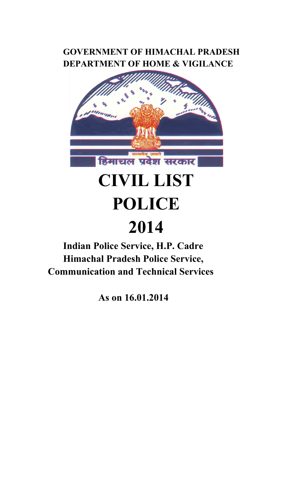# **GOVERNMENT OF HIMACHAL PRADESH DEPARTMENT OF HOME & VIGILANCE**



# **CIVIL LIST POLICE**

# **2014 Indian Police Service, H.P. Cadre Himachal Pradesh Police Service, Communication and Technical Services**

 **As on 16.01.2014**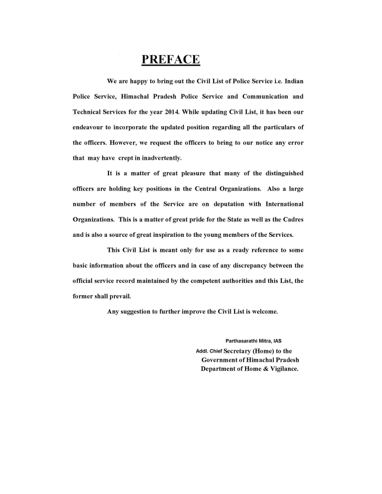### **PREFACE**

We are happy to bring out the Civil List of Police Service i.e. Indian Police Service, Himachal Pradesh Police Service and Communication and Technical Services for the year 2014. While updating Civil List, it has been our endeavour to incorporate the updated position regarding all the particulars of the officers. However, we request the officers to bring to our notice any error that may have crept in inadvertently.

It is a matter of great pleasure that many of the distinguished officers are holding key positions in the Central Organizations. Also a large number of members of the Service are on deputation with International Organizations. This is a matter of great pride for the State as well as the Cadres and is also a source of great inspiration to the young members of the Services.

This Civil List is meant only for use as a ready reference to some basic information about the officers and in case of any discrepancy between the official service record maintained by the competent authorities and this List, the former shall prevail.

Any suggestion to further improve the Civil List is welcome.

Parthasarathi Mitra, IAS Addl. Chief Secretary (Home) to the **Government of Himachal Pradesh** Department of Home & Vigilance.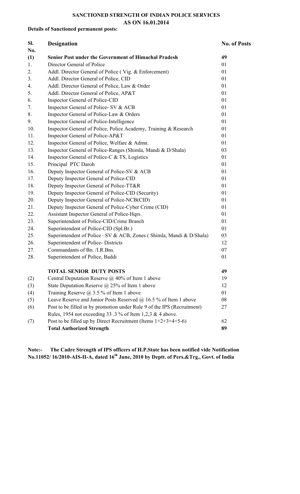# **SANCTIONED STRENGTH OF INDIAN POLICE SERVICES**

#### **Details of Sanctioned permanent posts:**

**Sl.** 

# **AS ON 16.01.2014 Designation** No. of Posts

| No. |                                                                         |    |
|-----|-------------------------------------------------------------------------|----|
| (1) | <b>Senior Post under the Government of Himachal Pradesh</b>             | 49 |
| 1.  | Director General of Police                                              | 01 |
| 2.  | Addl. Director General of Police (Vig. & Enforcement)                   | 01 |
| 3.  | Addl. Director General of Police, CID                                   | 01 |
| 4.  | Addl. Director General of Police, Law & Order                           | 01 |
| 5.  | Addl. Director General of Police, AP&T                                  | 01 |
| 6.  | Inspector General of Police-CID                                         | 01 |
| 7.  | Inspector General of Police- SV & ACB                                   | 01 |
| 8.  | Inspector General of Police-Law & Orders                                | 01 |
| 9.  | Inspector General of Police-Intelligence                                | 01 |
| 10. | Inspector General of Police, Police Academy, Training & Research        | 01 |
| 11. | Inspector General of Police-AP&T                                        | 01 |
| 12. | Inspector General of Police, Welfare & Admn.                            | 01 |
| 13. | Inspector General of Police-Ranges (Shimla, Mandi & D/Shala)            | 03 |
| 14. | Inspector General of Police-C & TS, Logistics                           | 01 |
| 15. | Principal PTC Daroh                                                     | 01 |
| 16. | Deputy Inspector General of Police-SV & ACB                             | 01 |
| 17. | Deputy Inspector General of Police-CID                                  | 01 |
| 18. | Deputy Inspector General of Police-TT&R                                 | 01 |
| 19. | Deputy Inspector General of Police-CID (Security)                       | 01 |
| 20. | Deputy Inspector General of Police-NCB(CID)                             | 01 |
| 21. | Deputy Inspector General of Police-Cyber Crime (CID)                    | 01 |
| 22. | Assistant Inspector General of Police-Hqrs.                             | 01 |
| 23. | Superintendent of Police-CID/Crime Branch                               | 01 |
| 24. | Superintendent of Police-CID (Spl.Br.)                                  | 01 |
| 25. | Superintendent of Police – SV & ACB, Zones (Shimla, Mandi & D/Shala)    | 03 |
| 26. | Superintendent of Police-Districts                                      | 12 |
| 27. | Commandants of Bn. /I.R.Bns.                                            | 07 |
| 28. | Superintendent of Police, Baddi                                         | 01 |
|     | <b>TOTAL SENIOR DUTY POSTS</b>                                          | 49 |
| (2) | Central Deputation Reserve $(a)$ 40% of Item 1 above                    | 19 |
| (3) | State Deputation Reserve $\omega$ 25% of Item 1 above                   | 12 |
| (4) | Training Reserve $\omega$ 3.5 % of Item 1 above                         | 01 |
| (5) | Leave Reserve and Junior Posts Reserved $\omega$ 16.5 % of Item 1 above | 08 |
| (6) | Post to be filled in by promotion under Rule 9 of the IPS (Recruitment) | 27 |
|     | Rules, 1954 not exceeding 33 $\cdot$ 3 % of Item 1,2,3 & 4 above.       |    |
| (7) | Post to be filled up by Direct Recruitment (Items $1+2+3+4+5-6$ )       | 62 |
|     | <b>Total Authorized Strength</b>                                        | 89 |
|     |                                                                         |    |

**Note:- The Cadre Strength of IPS officers of H.P.State has been notified vide Notification No.11052/ 16/2010-AIS-II-A, dated 16th June, 2010 by Deptt. of Pers.&Trg., Govt. of India**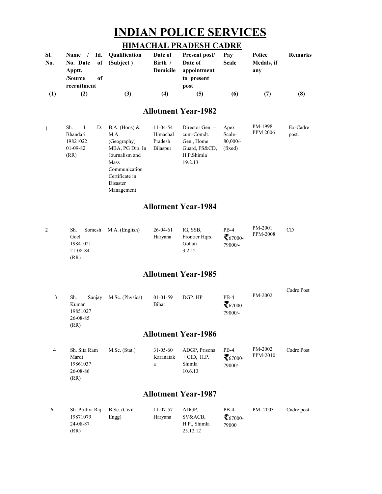# **INDIAN POLICE SERVICES**

#### **HIMACHAL PRADESH CADRE**

| SI. | Name /          |    | Id. Qualification | Date of  | Present post/ | Pav          | Police     | <b>Remarks</b> |
|-----|-----------------|----|-------------------|----------|---------------|--------------|------------|----------------|
| No. | <b>No. Date</b> |    | of (Subject)      | Birth /  | Date of       | <b>Scale</b> | Medals, if |                |
|     | Apptt.          |    |                   | Domicile | appointment   |              | anv        |                |
|     | /Source         | оf |                   |          | to present    |              |            |                |
|     | recruitment     |    |                   |          | post          |              |            |                |
|     | Z.              |    | (3)               |          | [5]           | (6)          |            | (8)            |

#### **Al llotment Y Year-1982**

|  | Sh.        | 1. | D.         | $B.A.$ (Hons) $&$ | 11-04-54        | Director Gen. - | Apex        | PM-1998         | Ex-Cadre |
|--|------------|----|------------|-------------------|-----------------|-----------------|-------------|-----------------|----------|
|  | Bhandari   |    |            | M.A.              | Himachal        | cum-Comdt.      | Scale-      | <b>PPM 2006</b> | post.    |
|  | 19821022   |    |            | (Geography)       | Pradesh         | Gen., Home      | $80,000/$ - |                 |          |
|  | $01-09-82$ |    |            | MBA, PG Dip. In   | <b>Bilaspur</b> | Guard, FS&CD,   | (fixed)     |                 |          |
|  | (RR)       |    |            | Journalism and    |                 | H.P.Shimla      |             |                 |          |
|  |            |    |            | Mass              |                 | 19.2.13         |             |                 |          |
|  |            |    |            | Communication     |                 |                 |             |                 |          |
|  |            |    |            | Certificate in    |                 |                 |             |                 |          |
|  |            |    |            | Disaster          |                 |                 |             |                 |          |
|  |            |    | Management |                   |                 |                 |             |                 |          |

#### **Al llotment Y Year-1984**

| 2 | Sh.<br>Somesh | M.A. (English) | $26-04-61$ | IG. SSB.       | $PB-4$         | PM-2001         | CD |
|---|---------------|----------------|------------|----------------|----------------|-----------------|----|
|   | Goel          |                | Harvana    | Frontier Hars. | $\tau_{67000}$ | <b>PPM-2008</b> |    |
|   | 19841021      |                |            | Gohati         | 79000/-        |                 |    |
|   | 21-08-84      |                |            | 3.2.12         |                |                 |    |
|   | (RR)          |                |            |                |                |                 |    |

#### **Al llotment Y Year-1985**

| Sanjay<br>Sh.<br>Kumar<br>19851027<br>26-08-85 | M.Sc. (Physics) | $01-01-59$<br>Bihar | DGP. HP | $PB-4$<br>$\bar{\tau}_{67000}$<br>79000/- | PM-2002 | Cadre Post |
|------------------------------------------------|-----------------|---------------------|---------|-------------------------------------------|---------|------------|
| (RR)                                           |                 |                     |         |                                           |         |            |

#### **Al llotment Y Year-1986**

| 4 | Sh. Sita Ram | $M.Sc.$ (Stat.) | $31 - 05 - 60$ | ADGP, Prisons | $PB-4$         | PM-2002  | Cadre Post |
|---|--------------|-----------------|----------------|---------------|----------------|----------|------------|
|   | Mardi        |                 | Karanatak      | $+$ CID. H.P. | $\tau_{67000}$ | PPM-2010 |            |
|   | 19861037     |                 | a              | Shimla        | 79000/-        |          |            |
|   | 26-08-86     |                 |                | 10.6.13       |                |          |            |
|   | (RR)         |                 |                |               |                |          |            |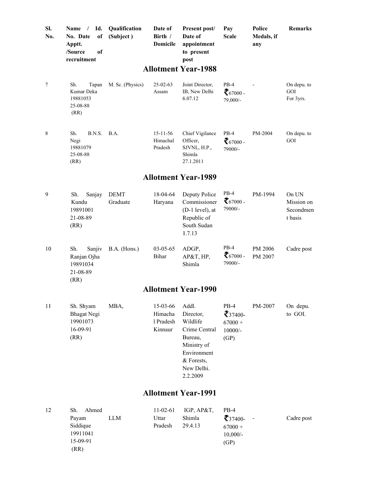| SI.<br>No.      | Id.<br>$\sqrt{ }$<br><b>Name</b><br>of<br>No. Date<br>Apptt.<br>/Source<br>of<br>recruitment | Qualification<br>(Subject) | Date of<br>Birth /<br><b>Domicile</b>             | <b>Present post/</b><br>Date of<br>appointment<br>to present<br>post                                                    | Pay<br><b>Scale</b>                                        | Police<br>Medals, if<br>any | Remarks                                     |
|-----------------|----------------------------------------------------------------------------------------------|----------------------------|---------------------------------------------------|-------------------------------------------------------------------------------------------------------------------------|------------------------------------------------------------|-----------------------------|---------------------------------------------|
|                 |                                                                                              |                            |                                                   | <b>Allotment Year-1988</b>                                                                                              |                                                            |                             |                                             |
| $7\phantom{.0}$ | Sh.<br>Tapan<br>Kumar Deka<br>19881053<br>25-08-88<br>(RR)                                   | M. Sc. (Physics)           | $25 - 02 - 63$<br>Assam                           | Joint Director,<br>IB, New Delhi<br>6.07.12                                                                             | $PB-4$<br>$\zeta_{67000}$<br>79,000/-                      |                             | On depu. to<br>GOI<br>For 3yrs.             |
| 8               | Sh.<br>B.N.S.<br>Negi<br>19881079<br>25-08-88<br>(RR)                                        | B.A.                       | $15 - 11 - 56$<br>Himachal<br>Pradesh             | Chief Vigilance<br>Officer,<br>SJVNL, H.P.,<br>Shimla<br>27.1.2011                                                      | $PB-4$<br>$\zeta_{67000}$ .<br>79000/-                     | PM-2004                     | On depu. to<br>GOI                          |
|                 |                                                                                              |                            |                                                   | <b>Allotment Year-1989</b>                                                                                              |                                                            |                             |                                             |
| 9               | Sh.<br>Sanjay<br>Kundu<br>19891001<br>21-08-89<br>(RR)                                       | <b>DEMT</b><br>Graduate    | 18-04-64<br>Haryana                               | Deputy Police<br>Commissioner<br>(D-1 level), at<br>Republic of<br>South Sudan<br>1.7.13                                | $PB-4$<br>$\xi_{67000}$ .<br>79000/-                       | PM-1994                     | On UN<br>Mission on<br>Secondmen<br>t basis |
| 10              | Sh.<br>Sanjiv<br>Ranjan Ojha<br>19891034<br>21-08-89<br>(RR)                                 | B.A. (Hons.)               | 03-05-65<br>Bihar                                 | ADGP,<br>AP&T, HP,<br>Shimla                                                                                            | $PB-4$<br>$67000$ .<br>79000/-                             | PM 2006<br>PM 2007          | Cadre post                                  |
|                 |                                                                                              |                            |                                                   | <b>Allotment Year-1990</b>                                                                                              |                                                            |                             |                                             |
| 11              | Sh. Shyam<br><b>Bhagat Negi</b><br>19901073<br>16-09-91<br>(RR)                              | MBA,                       | 15-03-66 Addl.<br>Himacha<br>1 Pradesh<br>Kinnaur | Director,<br>Wildlife<br>Crime Central<br>Bureau,<br>Ministry of<br>Environment<br>& Forests,<br>New Delhi.<br>2.2.2009 | $PB-4$<br>$\tau_{37400}$<br>$67000 +$<br>$10000/-$<br>(GP) | PM-2007                     | On depu.<br>to GOI.                         |
|                 |                                                                                              |                            |                                                   | <b>Allotment Year-1991</b>                                                                                              |                                                            |                             |                                             |
| 12              | Ahmed<br>Sh.<br>Payam<br>Siddique<br>19911041                                                | LLM                        | 11-02-61<br>Uttar<br>Pradesh                      | IGP, AP&T,<br>Shimla<br>29.4.13                                                                                         | $PB-4$<br>$\xi$ 37400-<br>$67000 +$<br>$10,000/-$          |                             | Cadre post                                  |

(GP)

15-09 9-91 (RR)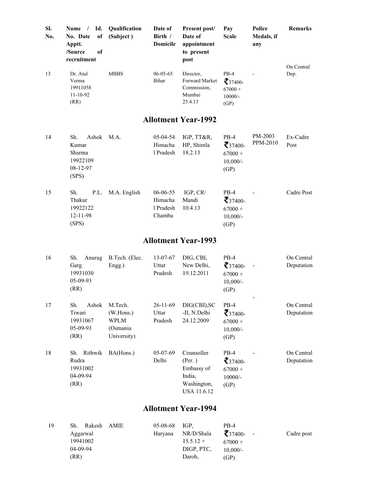| SI.<br>No. | Id.<br>Name /<br>No. Date<br><sub>of</sub><br>Apptt.<br>/Source<br><sub>of</sub><br>recruitment | <b>Oualification</b><br>(Subject)                              | Date of<br>Birth /<br>Domicile             | Present post/<br>Date of<br>appointment<br>to present<br>post               | Pay<br><b>Scale</b>                                                 | Police<br>Medals, if<br>any | <b>Remarks</b>           |
|------------|-------------------------------------------------------------------------------------------------|----------------------------------------------------------------|--------------------------------------------|-----------------------------------------------------------------------------|---------------------------------------------------------------------|-----------------------------|--------------------------|
| 13         | Dr. Atul<br>Verma<br>19911058<br>$11 - 10 - 92$<br>(RR)                                         | <b>MBBS</b>                                                    | $06 - 05 - 65$<br>Bihar                    | Director,<br>Forward Market<br>Commission.<br>Mumbai<br>25.4.13             | $PB-4$<br>$\zeta_{37400}$<br>$67000 +$<br>$10000/-$<br>(GP)         |                             | On Central<br>Dep.       |
|            |                                                                                                 |                                                                |                                            | <b>Allotment Year-1992</b>                                                  |                                                                     |                             |                          |
| 14         | Ashok<br>Sh.<br>Kumar<br>Sharma<br>19922109<br>08-12-97<br>(SPS)                                | M.A.                                                           | 05-04-54<br>Himacha<br>1 Pradesh           | IGP, TT&R,<br>HP, Shimla<br>18.2.13                                         | $PB-4$<br>$\bar{\zeta}_{37400}$<br>$67000 +$<br>$10,000/-$<br>(GP)  | PM-2003<br>PPM-2010         | Ex-Cadre<br>Post         |
| 15         | Sh.<br>P.L.<br>Thakur<br>19922122<br>12-11-98<br>(SPS)                                          | M.A. English                                                   | 06-06-55<br>Himacha<br>1 Pradesh<br>Chamba | IGP, CR/<br>Mandi<br>10.4.13                                                | $PB-4$<br>$\bar{\zeta}_{37400}$<br>$67000 +$<br>$10,000/$ -<br>(GP) |                             | Cadre Post               |
|            |                                                                                                 |                                                                |                                            | <b>Allotment Year-1993</b>                                                  |                                                                     |                             |                          |
| 16         | Sh.<br>Anurag<br>Garg<br>19931030<br>05-09-93<br>(RR)                                           | B.Tech. (Elec.<br>Engg.)                                       | 13-07-67<br>Uttar<br>Pradesh               | DIG, CBI,<br>New Delhi,<br>19.12.2011                                       | $PB-4$<br>$\sum$ 37400-<br>$67000 +$<br>$10,000/-$<br>(GP)          | $\overline{\phantom{a}}$    | On Central<br>Deputation |
| 17         | Sh.<br>Ashok<br>Tiwari<br>19931067<br>05-09-93<br>(RR)                                          | M.Tech.<br>(W.Hons.)<br><b>WPLM</b><br>(Osmania<br>University) | 26-11-69<br>Uttar<br>Pradesh               | DIG(CBI), SC<br>-II, N.Delhi<br>24.12.2009                                  | $PB-4$<br>$\bar{z}_{37400}$<br>$67000 +$<br>$10,000/$ -<br>(GP)     |                             | On Central<br>Deputation |
| 18         | Sh. Rithwik<br>Rudra<br>19931002<br>04-09-94<br>(RR)                                            | BA(Hons.)                                                      | 05-07-69<br>Delhi                          | Counsoller<br>(Per. )<br>Embassy of<br>India,<br>Washington,<br>USA 11.6.12 | $PB-4$<br>$\zeta$ 37400-<br>$67000 +$<br>$10000/-$<br>(GP)          |                             | On Central<br>Deputation |

| 19 | Sh.<br>Rakesh AMIE | $05-08-68$ IGP. |             | PB-4                |            |
|----|--------------------|-----------------|-------------|---------------------|------------|
|    | Aggarwal           | Harvana         | NR/D/Shala  | $\bar{z}_{37400}$ - | Cadre post |
|    | 19941002           |                 | $15.5.12 +$ | $67000 +$           |            |
|    | $04 - 09 - 94$     |                 | DIGP, PTC,  | $10.000/-$          |            |
|    | (RR)               |                 | Daroh.      | (GP)                |            |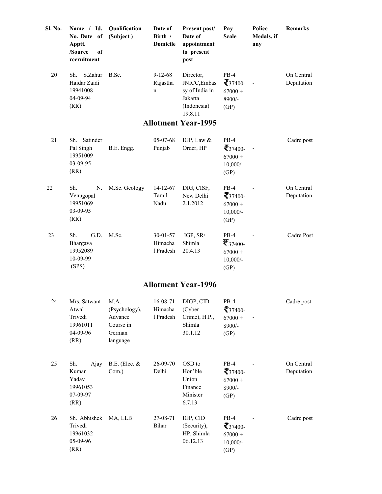| Sl. No. | Name / Id.<br>No. Date of<br>Apptt.<br>/Source<br>of<br>recruitment | Qualification<br>(Subject) | Date of<br>Birth /<br>Domicile           | Present post/<br>Date of<br>appointment<br>to present<br>post                    | Pay<br><b>Scale</b>                                                | Police<br>Medals, if<br>any | <b>Remarks</b>           |  |  |  |
|---------|---------------------------------------------------------------------|----------------------------|------------------------------------------|----------------------------------------------------------------------------------|--------------------------------------------------------------------|-----------------------------|--------------------------|--|--|--|
| 20      | S.Zahur<br>Sh.<br>Haidar Zaidi<br>19941008<br>04-09-94<br>(RR)      | B.Sc.                      | $9 - 12 - 68$<br>Rajastha<br>$\mathbf n$ | Director,<br>JNICC, Embas<br>sy of India in<br>Jakarta<br>(Indonesia)<br>19.8.11 | $PB-4$<br>$\bar{z}_{37400}$<br>$67000 +$<br>8900/-<br>(GP)         |                             | On Central<br>Deputation |  |  |  |
|         | <b>Allotment Year-1995</b>                                          |                            |                                          |                                                                                  |                                                                    |                             |                          |  |  |  |
| 21      | Satinder<br>Sh.<br>Pal Singh<br>19951009<br>03-09-95<br>(RR)        | B.E. Engg.                 | $05-07-68$<br>Punjab                     | IGP, Law &<br>Order, HP                                                          | $PB-4$<br>$\tau_{37400}$<br>$67000 +$<br>$10,000/-$<br>(GP)        |                             | Cadre post               |  |  |  |
| 22      | Sh.<br>N.<br>Venugopal<br>19951069<br>03-09-95<br>(RR)              | M.Sc. Geology              | $14 - 12 - 67$<br>Tamil<br>Nadu          | DIG, CISF,<br>New Delhi<br>2.1.2012                                              | $PB-4$<br>$\bar{z}_{37400}$<br>$67000 +$<br>$10,000/-$<br>(GP)     |                             | On Central<br>Deputation |  |  |  |
| 23      | G.D.<br>Sh.<br>Bhargava<br>19952089<br>10-09-99<br>(SPS)            | M.Sc.                      | 30-01-57<br>Himacha<br>1 Pradesh         | IGP, SR/<br>Shimla<br>20.4.13                                                    | $PB-4$<br>$\mathcal{F}_{37400}$<br>$67000 +$<br>$10,000/-$<br>(GP) |                             | Cadre Post               |  |  |  |

| 24 | Mrs. Satwant<br>Atwal<br>Trivedi<br>19961011<br>04-09-96<br>(RR) | M.A.<br>(Psychology),<br>Advance<br>Course in<br>German<br>language | 16-08-71<br>Himacha<br>1 Pradesh | DIGP, CID<br>(Cyber)<br>Crime), $H.P.,$<br>Shimla<br>30.1.12 | $PB-4$<br>$\sum$ 37400-<br>$67000 +$<br>$8900/-$<br>(GP)         | Cadre post               |
|----|------------------------------------------------------------------|---------------------------------------------------------------------|----------------------------------|--------------------------------------------------------------|------------------------------------------------------------------|--------------------------|
| 25 | Sh.<br>Ajay<br>Kumar<br>Yadav<br>19961053<br>07-09-97<br>(RR)    | B.E. (Elec. $&$<br>Com.)                                            | $26 - 09 - 70$<br>Delhi          | OSD to<br>Hon'ble<br>Union<br>Finance<br>Minister<br>6.7.13  | $PB-4$<br>$\bar{\zeta}_{37400}$<br>$67000 +$<br>$8900/-$<br>(GP) | On Central<br>Deputation |
| 26 | Sh. Abhishek<br>Trivedi<br>19961032<br>05-09-96<br>(RR)          | MA, LLB                                                             | 27-08-71<br>Bihar                | IGP, CID<br>(Security),<br>HP, Shimla<br>06.12.13            | $PB-4$<br>$\zeta$ 37400-<br>$67000 +$<br>$10,000/-$<br>(GP)      | Cadre post               |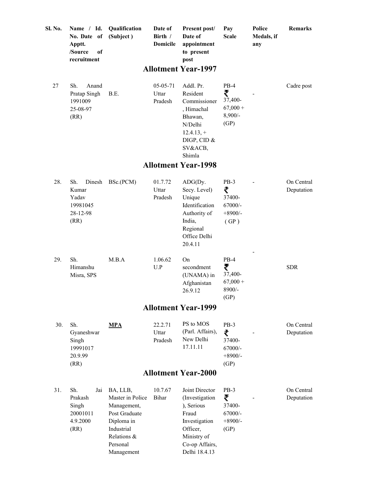| Sl. No. | Name / Id.<br>No. Date of<br>Apptt.<br>/Source<br>of<br>recruitment | Date of<br>Qualification<br>(Subject)<br>Birth /<br><b>Domicile</b>                                                               |                              | Present post/<br>Date of<br>appointment<br>to present<br>post                                                                          | Pay<br><b>Scale</b>                                     | Police<br>Medals, if<br>any | <b>Remarks</b>           |  |
|---------|---------------------------------------------------------------------|-----------------------------------------------------------------------------------------------------------------------------------|------------------------------|----------------------------------------------------------------------------------------------------------------------------------------|---------------------------------------------------------|-----------------------------|--------------------------|--|
|         |                                                                     |                                                                                                                                   |                              | <b>Allotment Year-1997</b>                                                                                                             |                                                         |                             |                          |  |
| 27      | Sh.<br>Anand<br>Pratap Singh<br>1991009<br>25-08-97<br>(RR)         | B.E.                                                                                                                              | 05-05-71<br>Uttar<br>Pradesh | Addl. Pr.<br>Resident<br>Commissioner<br>, Himachal<br>Bhawan,<br>N/Delhi<br>$12.4.13,+$<br>DIGP, CID $&$<br>SV&ACB,<br>Shimla         | $PB-4$<br>₹<br>37,400-<br>$67,000 +$<br>8,900/-<br>(GP) |                             | Cadre post               |  |
|         |                                                                     |                                                                                                                                   |                              | <b>Allotment Year-1998</b>                                                                                                             |                                                         |                             |                          |  |
| 28.     | Sh.<br>Dinesh<br>Kumar<br>Yadav<br>19981045<br>28-12-98<br>(RR)     | BSc.(PCM)                                                                                                                         | 01.7.72<br>Uttar<br>Pradesh  | $ADG(Dy)$ .<br>Secy. Level)<br>Unique<br>Identification<br>Authority of<br>India,<br>Regional<br>Office Delhi<br>20.4.11               | $PB-3$<br>₹<br>37400-<br>67000/-<br>$+8900/-$<br>(GP)   |                             | On Central<br>Deputation |  |
| 29.     | Sh.<br>Himanshu<br>Misra, SPS                                       | M.B.A                                                                                                                             | 1.06.62<br>U.P               | On<br>secondment<br>(UNAMA) in<br>Afghanistan<br>26.9.12                                                                               | $PB-4$<br>₹<br>37,400-<br>$67,000 +$<br>8900/-<br>(GP)  |                             | <b>SDR</b>               |  |
|         |                                                                     |                                                                                                                                   |                              | <b>Allotment Year-1999</b>                                                                                                             |                                                         |                             |                          |  |
| 30.     | Sh.<br>Gyaneshwar<br>Singh<br>19991017<br>20.9.99<br>(RR)           | <b>MPA</b>                                                                                                                        | 22.2.71<br>Uttar<br>Pradesh  | PS to MOS<br>(Parl. Affairs),<br>New Delhi<br>17.11.11                                                                                 | $PB-3$<br>₹<br>37400-<br>$67000/-$<br>$+8900/-$<br>(GP) |                             | On Central<br>Deputation |  |
|         |                                                                     |                                                                                                                                   |                              | <b>Allotment Year-2000</b>                                                                                                             |                                                         |                             |                          |  |
| 31.     | Sh.<br>Jai<br>Prakash<br>Singh<br>20001011<br>4.9.2000<br>(RR)      | BA, LLB,<br>Master in Police<br>Management,<br>Post Graduate<br>Diploma in<br>Industrial<br>Relations &<br>Personal<br>Management | 10.7.67<br>Bihar             | Joint Director<br>(Investigation<br>), Serious<br>Fraud<br>Investigation<br>Officer,<br>Ministry of<br>Co-op Affairs,<br>Delhi 18.4.13 | $PB-3$<br>₹<br>37400-<br>67000/-<br>$+8900/-$<br>(GP)   |                             | On Central<br>Deputation |  |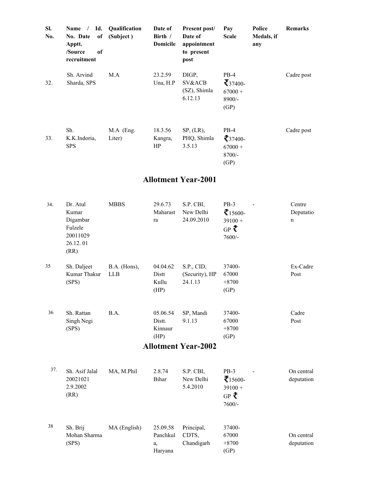| SI.<br>No. | Name $/$<br>No. Date<br>of<br>Apptt.<br>of<br>/Source<br>recruitment | Id. Qualification<br>(Subject) | Date of<br>Birth $/$<br><b>Domicile</b> | Present post/<br>Date of<br>appointment<br>to present<br>post | Pay<br><b>Scale</b>                                            | Police<br>Medals, if<br>any | <b>Remarks</b> |
|------------|----------------------------------------------------------------------|--------------------------------|-----------------------------------------|---------------------------------------------------------------|----------------------------------------------------------------|-----------------------------|----------------|
| 32.        | Sh. Arvind<br>Sharda, SPS                                            | M.A                            | 23.2.59<br>Una, $H.P$                   | DIGP,<br>SV&ACB<br>(SZ), Shimla<br>6.12.13                    | PB-4<br>$\mathcal{F}_{37400}$<br>$67000 +$<br>$8900/-$<br>(GP) |                             | Cadre post     |
| 33.        | Sh.<br>K.K.Indoria,<br><b>SPS</b>                                    | M.A (Eng.<br>Liter)            | 18.3.56<br>Kangra,<br>HP                | SP, (LR),<br>PHQ, Shimla<br>3.5.13                            | $PB-4$<br>$\zeta_{37400}$<br>$67000 +$<br>$8700/-$<br>(GP)     |                             | Cadre post     |

| 34. | Dr. Atul<br>Kumar<br>Digambar<br>Fulzele<br>20011029<br>26.12.01<br>(RR) | <b>MBBS</b>                | 29.6.73<br>Maharast<br>ra             | S.P. CBI,<br>New Delhi<br>24.09.2010    | $PB-3$<br>$\tau$ 15600-<br>$39100 +$<br>GP ₹<br>7600/-            | Centre<br>Deputatio<br>n |
|-----|--------------------------------------------------------------------------|----------------------------|---------------------------------------|-----------------------------------------|-------------------------------------------------------------------|--------------------------|
| 35  | Sh. Daljeet<br>Kumar Thakur<br>(SPS)                                     | B.A. (Hons),<br><b>LLB</b> | 04.04.62<br>Distt<br>Kullu<br>(HP)    | S.P., CID,<br>(Security), HP<br>24.1.13 | 37400-<br>67000<br>$+8700$<br>(GP)                                | Ex-Cadre<br>Post         |
| 36  | Sh. Rattan<br>Singh Negi<br>(SPS)                                        | B.A.                       | 05.06.54<br>Distt.<br>Kinnaur<br>(HP) | SP, Mandi<br>9.1.13                     | 37400-<br>67000<br>$+8700$<br>(GP)                                | Cadre<br>Post            |
|     |                                                                          |                            |                                       | <b>Allotment Year-2002</b>              |                                                                   |                          |
| 37. | Sh. Asif Jalal<br>20021021<br>2.9.2002<br>(RR)                           | MA, M.Phil                 | 2.8.74<br>Bihar                       | S.P. CBI,<br>New Delhi<br>5.4.2010      | $PB-3$<br>$\bar{\tau}_{15600}$<br>$39100 +$<br>$GP$ ₹<br>$7600/-$ | On central<br>deputation |
| 38  | Sh. Brij<br>Mohan Sharma<br>(SPS)                                        | MA (English)               | 25.09.58<br>Panchkul<br>a,<br>Haryana | Principal,<br>CDTS,<br>Chandigarh       | 37400-<br>67000<br>$+8700$<br>(GP)                                | On central<br>deputation |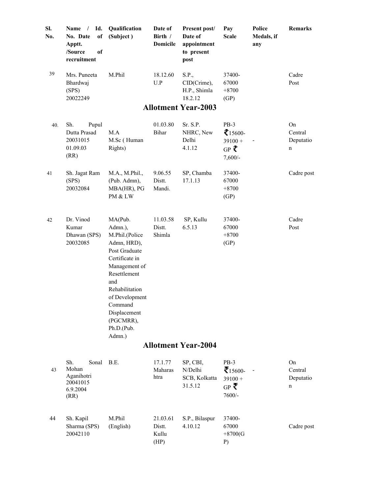| SI.<br>No. | Id.<br>Name<br>$\sqrt{2}$<br>No. Date<br>of<br>Apptt.<br>/Source<br><sub>of</sub><br>recruitment | Qualification<br>(Subject)                                                                                                                                                                                                         | Date of<br>Birth /<br><b>Domicile</b> | Present post/<br>Date of<br>appointment<br>to present<br>post | Pay<br><b>Scale</b>                                                | Police<br>Medals, if<br>any | Remarks                         |
|------------|--------------------------------------------------------------------------------------------------|------------------------------------------------------------------------------------------------------------------------------------------------------------------------------------------------------------------------------------|---------------------------------------|---------------------------------------------------------------|--------------------------------------------------------------------|-----------------------------|---------------------------------|
| 39         | Mrs. Puneeta<br>Bhardwaj<br>(SPS)<br>20022249                                                    | M.Phil                                                                                                                                                                                                                             | 18.12.60<br>U.P                       | S.P.,<br>CID(Crime),<br>H.P., Shimla<br>18.2.12               | 37400-<br>67000<br>$+8700$<br>(GP)                                 |                             | Cadre<br>Post                   |
|            |                                                                                                  |                                                                                                                                                                                                                                    |                                       | <b>Allotment Year-2003</b>                                    |                                                                    |                             |                                 |
| 40.        | Sh.<br>Pupul<br>Dutta Prasad<br>20031015<br>01.09.03<br>(RR)                                     | M.A<br>M.Sc (Human<br>Rights)                                                                                                                                                                                                      | 01.03.80<br><b>Bihar</b>              | Sr. S.P.<br>NHRC, New<br>Delhi<br>4.1.12                      | $PB-3$<br>$\sum 15600 -$<br>$39100 +$<br>GP ₹<br>$7,600/-$         |                             | On<br>Central<br>Deputatio<br>n |
| 41         | Sh. Jagat Ram<br>(SPS)<br>20032084                                                               | M.A., M.Phil.,<br>(Pub. Admn),<br>MBA(HR), PG<br>PM & LW                                                                                                                                                                           | 9.06.55<br>Distt.<br>Mandi.           | SP, Chamba<br>17.1.13                                         | 37400-<br>67000<br>$+8700$<br>(GP)                                 |                             | Cadre post                      |
| 42         | Dr. Vinod<br>Kumar<br>Dhawan (SPS)<br>20032085                                                   | MA(Pub.<br>Admn.),<br>M.Phil.(Police<br>Admn, HRD),<br>Post Graduate<br>Certificate in<br>Management of<br>Resettlement<br>and<br>Rehabilitation<br>of Development<br>Command<br>Displacement<br>(PGCMRR),<br>Ph.D.(Pub.<br>Admn.) | 11.03.58<br>Distt.<br>Shimla          | SP, Kullu<br>6.5.13                                           | 37400-<br>67000<br>$+8700$<br>(GP)                                 |                             | Cadre<br>Post                   |
|            |                                                                                                  |                                                                                                                                                                                                                                    |                                       | <b>Allotment Year-2004</b>                                    |                                                                    |                             |                                 |
| 43         | Sh.<br>Sonal<br>Mohan<br>Aganihotri<br>20041015<br>6.9.2004<br>(RR)                              | B.E.                                                                                                                                                                                                                               | 17.1.77<br>Maharas<br>htra            | SP, CBI,<br>N/Delhi<br>SCB, Kolkatta<br>31.5.12               | $PB-3$<br>$\bar{\tau}_{15600}$<br>$39100 +$<br>$GP \leq$<br>7600/- | $\overline{\phantom{a}}$    | On<br>Central<br>Deputatio<br>n |
| 44         | Sh. Kapil<br>Sharma (SPS)                                                                        | M.Phil<br>(English)                                                                                                                                                                                                                | 21.03.61<br>Distt.                    | S.P., Bilaspur<br>4.10.12                                     | 37400-<br>67000                                                    |                             | Cadre post                      |

Kullu (HP)

+8700(G P)

200421 10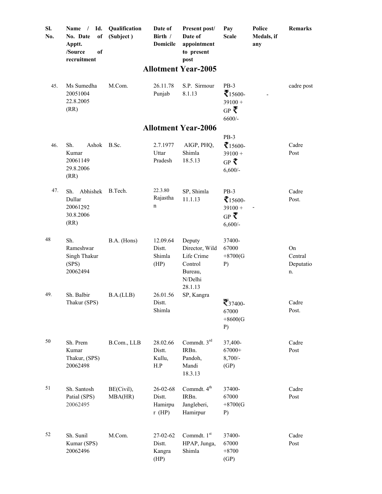| SI.<br>No. | Id.<br>Name<br>$\sqrt{ }$<br>No. Date<br>of<br>Apptt.<br>/Source<br>of<br>recruitment | Qualification<br>(Subject) | Date of<br>Birth /<br><b>Domicile</b>     | Present post/<br>Date of<br>appointment<br>to present<br>post                      | Pay<br><b>Scale</b>                                                   | Police<br>Medals, if<br>any | Remarks                          |
|------------|---------------------------------------------------------------------------------------|----------------------------|-------------------------------------------|------------------------------------------------------------------------------------|-----------------------------------------------------------------------|-----------------------------|----------------------------------|
|            |                                                                                       |                            |                                           | <b>Allotment Year-2005</b>                                                         |                                                                       |                             |                                  |
| 45.        | Ms Sumedha<br>20051004<br>22.8.2005<br>(RR)                                           | M.Com.                     | 26.11.78<br>Punjab                        | S.P. Sirmour<br>8.1.13                                                             | $PB-3$<br>$\bar{\zeta}_{15600}$<br>$39100 +$<br>$GP \leq$<br>$6600/-$ | $\overline{\phantom{a}}$    | cadre post                       |
|            |                                                                                       |                            |                                           | <b>Allotment Year-2006</b>                                                         |                                                                       |                             |                                  |
| 46.        | Sh.<br>Ashok<br>Kumar<br>20061149<br>29.8.2006<br>(RR)                                | B.Sc.                      | 2.7.1977<br>Uttar<br>Pradesh              | AIGP, PHQ,<br>Shimla<br>18.5.13                                                    | $PB-3$<br>$\tau$ 15600-<br>$39100 +$<br>GP ₹<br>$6,600/-$             |                             | Cadre<br>Post                    |
| 47.        | Abhishek<br>Sh.<br>Dullar<br>20061292<br>30.8.2006<br>(RR)                            | B.Tech.                    | 22.3.80<br>Rajastha<br>$\mathbf n$        | SP, Shimla<br>11.1.13                                                              | $PB-3$<br>$\tau$ 15600-<br>$39100 +$<br>$GP \leq$<br>$6,600/-$        |                             | Cadre<br>Post.                   |
| 48         | Sh.<br>Rameshwar<br>Singh Thakur<br>(SPS)<br>20062494                                 | B.A. (Hons)                | 12.09.64<br>Distt.<br>Shimla<br>(HP)      | Deputy<br>Director, Wild<br>Life Crime<br>Control<br>Bureau,<br>N/Delhi<br>28.1.13 | 37400-<br>67000<br>$+8700(G$<br>P)                                    |                             | On<br>Central<br>Deputatio<br>n. |
| 49.        | Sh. Balbir<br>Thakur (SPS)                                                            | B.A.(LLB)                  | 26.01.56<br>Distt.<br>Shimla              | SP, Kangra                                                                         | $\mathbf{\bar{5}}_{37400}$<br>67000<br>$+8600(G$<br>$P$ )             |                             | Cadre<br>Post.                   |
| 50         | Sh. Prem<br>Kumar<br>Thakur, (SPS)<br>20062498                                        | B.Com., LLB                | 28.02.66<br>Distt.<br>Kullu,<br>H.P       | Commdt. $3rd$<br>IRBn.<br>Pandoh,<br>Mandi<br>18.3.13                              | 37,400-<br>67000+<br>$8,700/-$<br>(GP)                                |                             | Cadre<br>Post                    |
| 51         | Sh. Santosh<br>Patial (SPS)<br>20062495                                               | BE(Civil),<br>MBA(HR)      | 26-02-68<br>Distt.<br>Hamirpu<br>$r$ (HP) | Commdt. 4 <sup>th</sup><br>IRBn.<br>Jangleberi,<br>Hamirpur                        | 37400-<br>67000<br>$+8700(G$<br>P)                                    |                             | Cadre<br>Post                    |
| 52         | Sh. Sunil<br>Kumar (SPS)<br>20062496                                                  | M.Com.                     | 27-02-62<br>Distt.<br>Kangra<br>(HP)      | Commdt. 1st<br>HPAP, Junga,<br>Shimla                                              | 37400-<br>67000<br>$+8700$<br>(GP)                                    |                             | Cadre<br>Post                    |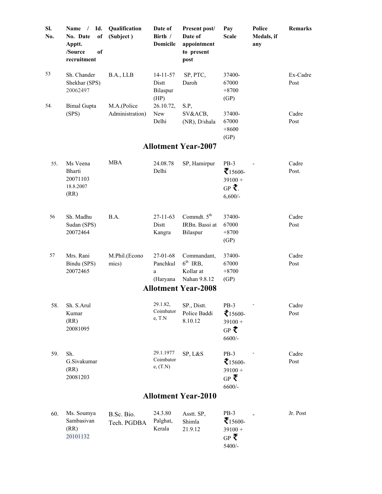| SI.<br>No. | $/$ Id.<br>Name<br>of<br>No. Date<br>Apptt.<br>/Source<br>of<br>recruitment | Qualification<br>(Subject)     | Date of<br>Birth /<br><b>Domicile</b>       | <b>Present post/</b><br>Date of<br>appointment<br>to present<br>post | Pay<br><b>Scale</b>                                               | Police<br>Medals, if<br>any | <b>Remarks</b>   |
|------------|-----------------------------------------------------------------------------|--------------------------------|---------------------------------------------|----------------------------------------------------------------------|-------------------------------------------------------------------|-----------------------------|------------------|
| 53         | Sh. Chander<br>Shekhar (SPS)<br>20062497                                    | B.A., LLB                      | $14 - 11 - 57$<br>Distt<br>Bilaspur<br>(HP) | SP, PTC,<br>Daroh                                                    | 37400-<br>67000<br>$+8700$<br>(GP)                                |                             | Ex-Cadre<br>Post |
| 54.        | <b>Bimal Gupta</b><br>(SPS)                                                 | M.A.(Police<br>Administration) | 26.10.72,<br>New<br>Delhi                   | S.P,<br>SV&ACB,<br>(NR), D/shala                                     | 37400-<br>67000<br>$+8600$<br>(GP)                                |                             | Cadre<br>Post    |
|            |                                                                             |                                |                                             | <b>Allotment Year-2007</b>                                           |                                                                   |                             |                  |
| 55.        | Ms Veena<br>Bharti<br>20071103<br>18.8.2007<br>(RR)                         | <b>MBA</b>                     | 24.08.78<br>Delhi                           | SP, Hamirpur                                                         | $PB-3$<br>$\bar{\tau}_{15600}$<br>$39100 +$<br>GP ₹.<br>$6,600/-$ |                             | Cadre<br>Post.   |
| 56         | Sh. Madhu<br>Sudan (SPS)<br>20072464                                        | B.A.                           | $27 - 11 - 63$<br>Distt<br>Kangra           | Commdt. 5 <sup>th</sup><br>IRBn. Bassi at<br>Bilaspur                | 37400-<br>67000<br>$+8700$<br>(GP)                                |                             | Cadre<br>Post    |
| 57         | Mrs. Rani<br>Bindu (SPS)<br>20072465                                        | M.Phil.(Econo<br>mics)         | $27-01-68$<br>Panchkul<br>a<br>(Haryana     | Commandant,<br>$6^{th}$ IRB,<br>Kollar at<br>Nahan 9.8.12            | 37400-<br>67000<br>$+8700$<br>(GP)                                |                             | Cadre<br>Post    |
|            |                                                                             |                                |                                             | <b>Allotment Year-2008</b>                                           |                                                                   |                             |                  |
| 58.        | Sh. S.Arul<br>Kumar<br>(RR)<br>20081095                                     |                                | 29.1.82.<br>Coimbator<br>$e$ , $T.N$        | SP., Distt.<br>Police Baddi<br>8.10.12                               | $PB-3$<br>$\zeta$ 15600-<br>$39100 +$<br>$GP$ ₹<br>$6600/-$       |                             | Cadre<br>Post    |
| 59.        | Sh.<br>G.Sivakumar<br>(RR)<br>20081203                                      |                                | 29.1.1977<br>Coimbator<br>e, (T.N)          | SP, L&S                                                              | $PB-3$<br>$\sum 15600 -$<br>$39100 +$<br>$GP \leq$<br>$6600/-$    |                             | Cadre<br>Post    |
|            |                                                                             |                                |                                             | <b>Allotment Year-2010</b>                                           |                                                                   |                             |                  |
| 60.        | Ms. Soumya<br>Sambasivan<br>(RR)<br>20101132                                | B.Sc. Bio.<br>Tech. PGDBA      | 24.3.80<br>Palghat,<br>Kerala               | Asstt. SP,<br>Shimla<br>21.9.12                                      | PB-3<br>$\tau_{15600}$<br>$39100 +$<br>$GP \leq$                  |                             | Jr. Post         |

5400/-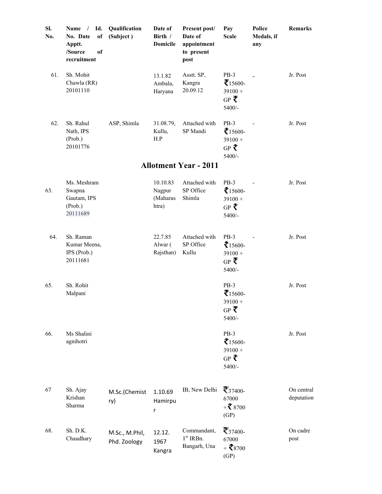| Sl.<br>No. | Id.<br>Name<br>$\sqrt{2}$<br>No. Date<br>of<br>Apptt.<br>/Source<br>of<br>recruitment | Qualification<br>(Subject)     | Date of<br>Birth /<br><b>Domicile</b>   | Present post/<br>Date of<br>appointment<br>to present<br>post | Pay<br><b>Scale</b>                                                 | Police<br>Medals, if<br>any | Remarks                  |
|------------|---------------------------------------------------------------------------------------|--------------------------------|-----------------------------------------|---------------------------------------------------------------|---------------------------------------------------------------------|-----------------------------|--------------------------|
| 61.        | Sh. Mohit<br>Chawla (RR)<br>20101110                                                  |                                | 13.1.82<br>Ambala,<br>Haryana           | Asstt. SP,<br>Kangra<br>20.09.12                              | $PB-3$<br>$\bar{\zeta}_{15600}$<br>$39100 +$<br>$GP \n\{$<br>5400/- |                             | Jr. Post                 |
| 62.        | Sh. Rahul<br>Nath, IPS<br>(Prob.)<br>20101776                                         | ASP, Shimla                    | 31.08.79,<br>Kullu,<br>H.P              | Attached with<br>SP Mandi                                     | $PB-3$<br>$\sum 15600 -$<br>$39100 +$<br>GP ₹<br>5400/-             |                             | Jr. Post                 |
|            |                                                                                       |                                |                                         | <b>Allotment Year - 2011</b>                                  |                                                                     |                             |                          |
| 63.        | Ms. Meshram<br>Swapna<br>Gautam, IPS<br>(Prob.)<br>20111689                           |                                | 10.10.83<br>Nagpur<br>(Maharas<br>htra) | Attached with<br>SP Office<br>Shimla                          | $PB-3$<br>$\tau$ 15600-<br>$39100 +$<br>GP ₹<br>5400/-              |                             | Jr. Post                 |
| 64.        | Sh. Raman<br>Kumar Meena,<br>IPS (Prob.)<br>20111681                                  |                                | 22.7.85<br>Alwar (<br>Rajsthan)         | Attached with<br>SP Office<br>Kullu                           | $PB-3$<br>$\zeta$ 15600-<br>$39100 +$<br>$GP \leq$<br>5400/-        |                             | Jr. Post                 |
| 65.        | Sh. Rohit<br>Malpani                                                                  |                                |                                         |                                                               | $PB-3$<br>$\bar{\tau}_{15600}$<br>$39100 +$<br>$GP$ ₹<br>5400/-     |                             | Jr. Post                 |
| 66.        | Ms Shalini<br>agnihotri                                                               |                                |                                         |                                                               | $PB-3$<br>$\tau$ 15600-<br>$39100 +$<br>GP ₹<br>5400/-              |                             | Jr. Post                 |
| 67         | Sh. Ajay<br>Krishan<br>Sharma                                                         | M.Sc.(Chemist<br>ry)           | 1.10.69<br>Hamirpu<br>r                 | IB, New Delhi                                                 | $\mathcal{F}_{37400}$<br>67000<br>$+3700$<br>(GP)                   |                             | On central<br>deputation |
| 68.        | Sh. D.K.<br>Chaudhary                                                                 | M.Sc., M.Phil,<br>Phd. Zoology | 12.12.<br>1967<br>Kangra                | Commandant,<br>$1st$ IRBn.<br>Bangarh, Una                    | $\mathbf{F}_{37400}$<br>67000<br>$+ 18700$<br>(GP)                  |                             | On cadre<br>post         |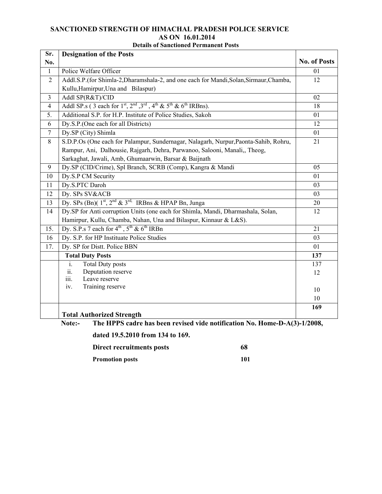#### **SANCTIONED STRENGTH OF HIMACHAL PRADESH POLICE SERVICE AS ON 16.01.2014 Details of Sanctioned Permanent Posts**

| Sr.            | <b>Designation of the Posts</b>                                                                                                                   |                     |
|----------------|---------------------------------------------------------------------------------------------------------------------------------------------------|---------------------|
| No.            |                                                                                                                                                   | <b>No. of Posts</b> |
| $\mathbf{1}$   | Police Welfare Officer                                                                                                                            | 01                  |
| $\overline{2}$ | Addl.S.P.(for Shimla-2,Dharamshala-2, and one each for Mandi,Solan,Sirmaur,Chamba,                                                                | 12                  |
|                | Kullu, Hamirpur, Una and Bilaspur)                                                                                                                |                     |
| $\overline{3}$ | Addl SP(R&T)/CID                                                                                                                                  | 02                  |
| $\overline{4}$ | Addl SP.s (3 each for $1st$ , $2nd$ , $3rd$ , $4th$ & $5th$ & $6th$ IRBns).                                                                       | 18                  |
| 5.             | Additional S.P. for H.P. Institute of Police Studies, Sakoh                                                                                       | 01                  |
| 6              | Dy.S.P.(One each for all Districts)                                                                                                               | 12                  |
| $\overline{7}$ | Dy.SP (City) Shimla                                                                                                                               | 01                  |
| 8              | S.D.P.Os (One each for Palampur, Sundernagar, Nalagarh, Nurpur, Paonta-Sahib, Rohru,                                                              | 21                  |
|                | Rampur, Ani, Dalhousie, Rajgarh, Dehra, Parwanoo, Salooni, Manali,, Theog,                                                                        |                     |
|                | Sarkaghat, Jawali, Amb, Ghumaarwin, Barsar & Baijnath                                                                                             |                     |
| 9              | Dy.SP (CID/Crime), Spl Branch, SCRB (Comp), Kangra & Mandi                                                                                        | 05                  |
| 10             | Dy.S.P CM Security                                                                                                                                | 01                  |
| 11             | Dy.S.PTC Daroh                                                                                                                                    | 03                  |
| 12             | Dy. SPs SV&ACB                                                                                                                                    | 03                  |
| 13             | Dy. SPs (Bn)(1 <sup>st</sup> , 2 <sup>nd</sup> & 3 <sup>rd,</sup> IRBns & HPAP Bn, Junga                                                          | 20                  |
| 14             | Dy.SP for Anti corruption Units (one each for Shimla, Mandi, Dharmashala, Solan,                                                                  | 12                  |
|                | Hamirpur, Kullu, Chamba, Nahan, Una and Bilaspur, Kinnaur & L&S).                                                                                 |                     |
| 15.            | Dy. S.P.s 7 each for $4^{\text{th}}$ , $5^{\text{th}}$ & $6^{\text{th}}$ IRBn                                                                     | 21                  |
| 16             | Dy. S.P. for HP Instituate Police Studies                                                                                                         | 03                  |
| 17.            | Dy. SP for Distt. Police BBN                                                                                                                      | 01                  |
|                | <b>Total Duty Posts</b>                                                                                                                           | 137                 |
|                | $\mathbf{i}$ .<br><b>Total Duty posts</b>                                                                                                         | 137                 |
|                | ii.<br>Deputation reserve                                                                                                                         | 12                  |
|                | Leave reserve<br>iii.                                                                                                                             |                     |
|                | Training reserve<br>iv.                                                                                                                           | 10                  |
|                |                                                                                                                                                   | 10                  |
|                |                                                                                                                                                   | 169                 |
|                | <b>Total Authorized Strength</b><br>The HDDS eadye has been vericed vide notification No. Home D $A(3)$ 1/2008<br>$N_{\alpha \star \alpha \star}$ |                     |

**Note:- The HPPS cadre has been revised vide notification No. Home-D-A(3)-1/2008,** 

**dated 19.5.2010 from 134 to 169.** 

**Direct recruitments posts** 68 **Promotion posts** 101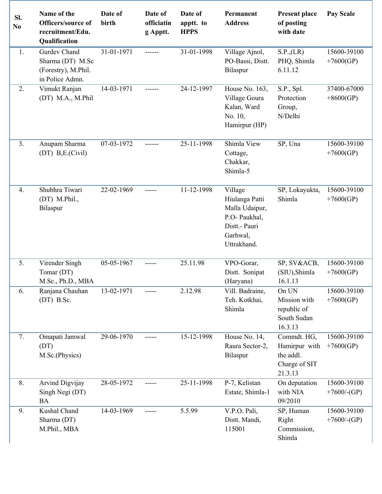| SI.<br>N <sub>0</sub> | Name of the<br>Officers/source of<br>recruitment/Edu.<br>Qualification     | Date of<br>birth | Date of<br>officiatin<br>g Apptt. | Date of<br>apptt. to<br><b>HPPS</b> | Permanent<br><b>Address</b>                                                                              | <b>Present place</b><br>of posting<br>with date                       | <b>Pay Scale</b>              |
|-----------------------|----------------------------------------------------------------------------|------------------|-----------------------------------|-------------------------------------|----------------------------------------------------------------------------------------------------------|-----------------------------------------------------------------------|-------------------------------|
| 1.                    | Gurdev Chand<br>Sharma (DT) M.Sc<br>(Forestry), M.Phil.<br>in Police Admn. | 31-01-1971       | ------                            | 31-01-1998                          | Village Ajnol,<br>PO-Bassi, Distt.<br>Bilaspur                                                           | S.P., (LR)<br>PHQ, Shimla<br>6.11.12                                  | 15600-39100<br>$+7600(GP)$    |
| 2.                    | Vimukt Ranjan<br>(DT) M.A., M.Phil                                         | 14-03-1971       | ------                            | 24-12-1997                          | House No. 163,<br>Village Goura<br>Kalan, Ward<br>No. 10,<br>Hamirpur (HP)                               | S.P., Spl.<br>Protection<br>Group,<br>N/Delhi                         | 37400-67000<br>$+8600(GP)$    |
| 3.                    | Anupam Sharma<br>$(DT)$ B,E.(Civil)                                        | 07-03-1972       | ------                            | 25-11-1998                          | Shimla View<br>Cottage,<br>Chakkar,<br>Shimla-5                                                          | SP, Una                                                               | 15600-39100<br>$+7600(GP)$    |
| 4.                    | Shubhra Tiwari<br>(DT) M.Phil.,<br>Bilaspur                                | 22-02-1969       | -----                             | 11-12-1998                          | Village<br>Hiulanga Patti<br>Malla Udaipur,<br>P.O- Paukhal,<br>Distt.- Pauri<br>Garhwal,<br>Uttrakhand. | SP, Lokayukta,<br>Shimla                                              | 15600-39100<br>$+7600(GP)$    |
| 5.                    | Virender Singh<br>Tomar (DT)<br>M.Sc., Ph.D., MBA                          | 05-05-1967       |                                   | 25.11.98                            | VPO-Gorar,<br>Distt. Sonipat<br>(Haryana)                                                                | SP, SV&ACB,<br>(SIU), Shimla<br>16.1.13                               | 15600-39100<br>$+7600(GP)$    |
| 6.                    | Ranjana Chauhan<br>$(DT)$ B.Sc.                                            | 13-02-1971       |                                   | 2.12.98                             | Vill. Badraine,<br>Teh. Kotkhai,<br>Shimla                                                               | On UN<br>Mission with<br>republic of<br>South Sudan<br>16.3.13        | 15600-39100<br>$+7600(GP)$    |
| 7.                    | Omapati Jamwal<br>(DT)<br>M.Sc.(Physics)                                   | 29-06-1970       |                                   | 15-12-1998                          | House No. 14,<br>Raura Sector-2,<br>Bilaspur                                                             | Commdt. HG,<br>Hamirpur with<br>the addl.<br>Charge of SIT<br>21.3.13 | 15600-39100<br>$+7600(GP)$    |
| 8.                    | Arvind Digvijay<br>Singh Negi (DT)<br><b>BA</b>                            | 28-05-1972       |                                   | 25-11-1998                          | P-7, Kelistan<br>Estate, Shimla-1                                                                        | On deputation<br>with NIA<br>09/2010                                  | 15600-39100<br>$+7600$ /-(GP) |
| 9.                    | Kushal Chand<br>Sharma (DT)<br>M.Phil., MBA                                | 14-03-1969       |                                   | 5.5.99                              | V.P.O. Pali,<br>Distt. Mandi,<br>115001                                                                  | SP, Human<br>Right<br>Commission,<br>Shimla                           | 15600-39100<br>$+7600$ /-(GP) |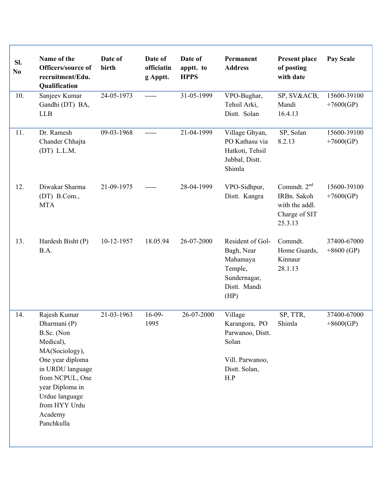| SI.<br>N <sub>0</sub> | Name of the<br>Officers/source of<br>recruitment/Edu.<br>Qualification                                                                                                                                              | Date of<br>birth | Date of<br>officiatin<br>g Apptt. | Date of<br>apptt. to<br><b>HPPS</b> | Permanent<br><b>Address</b>                                                                      | <b>Present place</b><br>of posting<br>with date                            | <b>Pay Scale</b>            |
|-----------------------|---------------------------------------------------------------------------------------------------------------------------------------------------------------------------------------------------------------------|------------------|-----------------------------------|-------------------------------------|--------------------------------------------------------------------------------------------------|----------------------------------------------------------------------------|-----------------------------|
| 10.                   | Sanjeev Kumar<br>Gandhi (DT) BA,<br><b>LLB</b>                                                                                                                                                                      | 24-05-1973       | -----                             | 31-05-1999                          | VPO-Bughar,<br>Tehsil Arki,<br>Distt. Solan                                                      | SP, SV&ACB,<br>Mandi<br>16.4.13                                            | 15600-39100<br>$+7600(GP)$  |
| 11.                   | Dr. Ramesh<br>Chander Chhajta<br>$(DT)$ L.L.M.                                                                                                                                                                      | 09-03-1968       | -----                             | 21-04-1999                          | Village Ghyan,<br>PO Kathasu via<br>Hatkoti, Tehsil<br>Jubbal, Distt.<br>Shimla                  | SP, Solan<br>8.2.13                                                        | 15600-39100<br>$+7600(GP)$  |
| 12.                   | Diwakar Sharma<br>(DT) B.Com.,<br><b>MTA</b>                                                                                                                                                                        | 21-09-1975       |                                   | 28-04-1999                          | VPO-Sidhpur,<br>Distt. Kangra                                                                    | Commdt. $2nd$<br>IRBn. Sakoh<br>with the addl.<br>Charge of SIT<br>25.3.13 | 15600-39100<br>$+7600(GP)$  |
| 13.                   | Hardesh Bisht (P)<br>B.A.                                                                                                                                                                                           | 10-12-1957       | 18.05.94                          | 26-07-2000                          | Resident of Gol-<br>Bagh, Near<br>Mahamaya<br>Temple,<br>Sundernagar,<br>Distt. Mandi<br>(HP)    | Commdt.<br>Home Guards,<br>Kinnaur<br>28.1.13                              | 37400-67000<br>$+8600$ (GP) |
| 14.                   | Rajesh Kumar<br>Dharmani (P)<br>B.Sc. (Non<br>Medical),<br>MA(Sociology),<br>One year diploma<br>in URDU language<br>from NCPUL, One<br>year Diploma in<br>Urdue language<br>from HYY Urdu<br>Academy<br>Panchkulla | 21-03-1963       | $16-09-$<br>1995                  | 26-07-2000                          | Village<br>Karangora, PO<br>Parwanoo, Distt.<br>Solan<br>Vill. Parwanoo,<br>Distt. Solan,<br>H.P | SP, TTR,<br>Shimla                                                         | 37400-67000<br>$+8600(GP)$  |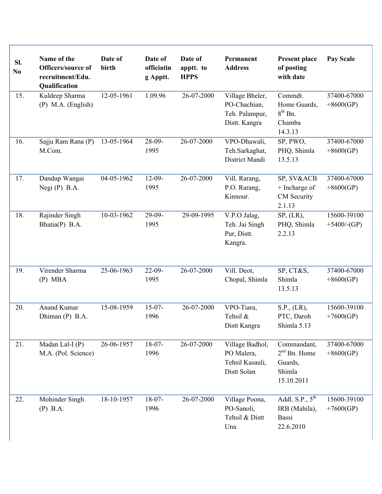| SI.<br>N <sub>0</sub> | Name of the<br>Officers/source of<br>recruitment/Edu.<br>Qualification | Date of<br>birth | Date of<br>officiatin<br>g Apptt. | Date of<br>apptt. to<br><b>HPPS</b> | Permanent<br><b>Address</b>                                        | <b>Present place</b><br>of posting<br>with date                    | Pay Scale                     |
|-----------------------|------------------------------------------------------------------------|------------------|-----------------------------------|-------------------------------------|--------------------------------------------------------------------|--------------------------------------------------------------------|-------------------------------|
| 15.                   | Kuldeep Sharma<br>$(P)$ M.A. (English)                                 | 12-05-1961       | 1.09.96                           | 26-07-2000                          | Village Bheler,<br>PO-Chachian,<br>Teh. Palampur,<br>Distt. Kangra | Commdt.<br>Home Guards,<br>$8th$ Bn.<br>Chamba<br>14.3.13          | 37400-67000<br>$+8600(GP)$    |
| 16.                   | Sajju Ram Rana (P)<br>M.Com.                                           | 13-05-1964       | 28-09-<br>1995                    | 26-07-2000                          | VPO-Dhawali,<br>Teh.Sarkaghat,<br>District Mandi                   | SP, PWO,<br>PHQ, Shimla<br>13.5.13                                 | 37400-67000<br>$+8600(GP)$    |
| 17.                   | Dandup Wangai<br>Negi $(P)$ B.A.                                       | 04-05-1962       | $12-09-$<br>1995                  | 26-07-2000                          | Vill. Rarang,<br>P.O. Rarang,<br>Kinnour.                          | SP, SV&ACB<br>+ Incharge of<br>CM Security<br>2.1.13               | 37400-67000<br>$+8600(GP)$    |
| 18.                   | Rajinder Singh<br>Bhatia(P) B.A.                                       | 10-03-1962       | 29-09-<br>1995                    | 29-09-1995                          | V.P.O Jalag,<br>Teh. Jai Singh<br>Pur, Distt.<br>Kangra.           | SP, (LR),<br>PHQ, Shimla<br>2.2.13                                 | 15600-39100<br>$+5400$ /-(GP) |
| 19.                   | Virender Sharma<br>$(P)$ MBA                                           | 25-06-1963       | $22-09-$<br>1995                  | 26-07-2000                          | Vill. Deot,<br>Chopal, Shimla                                      | SP, CT&S,<br>Shimla<br>13.5.13                                     | 37400-67000<br>$+8600(GP)$    |
| 20.                   | <b>Anand Kumar</b><br>Dhiman $(P)$ B.A.                                | 15-08-1959       | $15-07-$<br>1996                  | 26-07-2000                          | VPO-Tiara,<br>Tehsil &<br>Distt Kangra                             | S.P., (LR),<br>PTC, Daroh<br>Shimla 5.13                           | 15600-39100<br>$+7600(GP)$    |
| 21.                   | Madan Lal-I (P)<br>M.A. (Pol. Science)                                 | 26-06-1957       | $18-07-$<br>1996                  | 26-07-2000                          | Village Badhol,<br>PO Malera,<br>Tehsil Kasauli,<br>Distt Solan    | Commandant,<br>$2nd$ Bn. Home<br>Guards,<br>Shimla<br>15.10.2011   | 37400-67000<br>$+8600(GP)$    |
| 22.                   | Mohinder Singh<br>$(P)$ B.A.                                           | 18-10-1957       | $18-07-$<br>1996                  | 26-07-2000                          | Village Poona,<br>PO-Sanoli,<br>Tehsil & Distt<br>Una              | Addl. S.P., $5^{\text{th}}$<br>IRB (Mahila),<br>Bassi<br>22.6.2010 | 15600-39100<br>$+7600(GP)$    |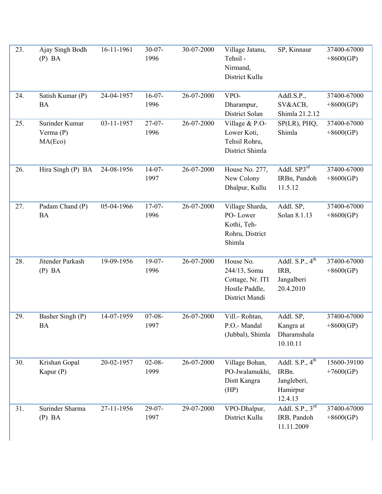| 23. | Ajay Singh Bodh<br>$(P)$ BA            | 16-11-1961 | $30-07-$<br>1996    | 30-07-2000 | Village Jatanu,<br>Tehsil -<br>Nirmand,<br>District Kullu                         | SP, Kinnaur                                                      | 37400-67000<br>$+8600(GP)$ |
|-----|----------------------------------------|------------|---------------------|------------|-----------------------------------------------------------------------------------|------------------------------------------------------------------|----------------------------|
| 24. | Satish Kumar (P)<br><b>BA</b>          | 24-04-1957 | $16-07-$<br>1996    | 26-07-2000 | VPO-<br>Dharampur,<br>District Solan                                              | Addl.S.P.,<br>SV&ACB,<br>Shimla 21.2.12                          | 37400-67000<br>$+8600(GP)$ |
| 25. | Surinder Kumar<br>Verma (P)<br>MA(Eco) | 03-11-1957 | $27-07-$<br>1996    | 26-07-2000 | Village & P.O-<br>Lower Koti,<br>Tehsil Rohru,<br>District Shimla                 | $SP(LR)$ , $PHQ$ ,<br>Shimla                                     | 37400-67000<br>$+8600(GP)$ |
| 26. | Hira Singh (P) BA                      | 24-08-1956 | $14-07-$<br>1997    | 26-07-2000 | House No. 277,<br>New Colony<br>Dhalpur, Kullu                                    | Addl. SP3 <sup>rd</sup><br>IRBn, Pandoh<br>11.5.12               | 37400-67000<br>$+8600(GP)$ |
| 27. | Padam Chand (P)<br><b>BA</b>           | 05-04-1966 | $17-07-$<br>1996    | 26-07-2000 | Village Sharda,<br>PO-Lower<br>Kothi, Teh-<br>Rohru, District<br>Shimla           | Addl. SP,<br>Solan 8.1.13                                        | 37400-67000<br>$+8600(GP)$ |
| 28. | Jitender Parkash<br>$(P)$ BA           | 19-09-1956 | $19-07-$<br>1996    | 26-07-2000 | House No.<br>244/13, Somu<br>Cottage, Nr. ITI<br>Hostle Paddle,<br>District Mandi | Addl. S.P., $4^{\text{th}}$<br>IRB,<br>Jangalberi<br>20.4.2010   | 37400-67000<br>$+8600(GP)$ |
| 29. | Basher Singh (P)<br>BA                 | 14-07-1959 | $07 - 08 -$<br>1997 | 26-07-2000 | Vill.- Rohtan,<br>P.O.- Mandal<br>(Jubbal), Shimla                                | Addl. SP,<br>Kangra at<br>Dharamshala<br>10.10.11                | 37400-67000<br>$+8600(GP)$ |
| 30. | Krishan Gopal<br>Kapur $(P)$           | 20-02-1957 | $02 - 08 -$<br>1999 | 26-07-2000 | Village Bohan,<br>PO-Jwalamukhi,<br>Distt Kangra<br>(HP)                          | Addl. $S.P., 4th$<br>IRBn.<br>Jangleberi,<br>Hamirpur<br>12.4.13 | 15600-39100<br>$+7600(GP)$ |
| 31. | Surinder Sharma<br>$(P)$ BA            | 27-11-1956 | $29-07-$<br>1997    | 29-07-2000 | VPO-Dhalpur,<br>District Kullu                                                    | Addl. S.P., $3^{\text{rd}}$<br>IRB, Pandoh<br>11.11.2009         | 37400-67000<br>$+8600(GP)$ |

I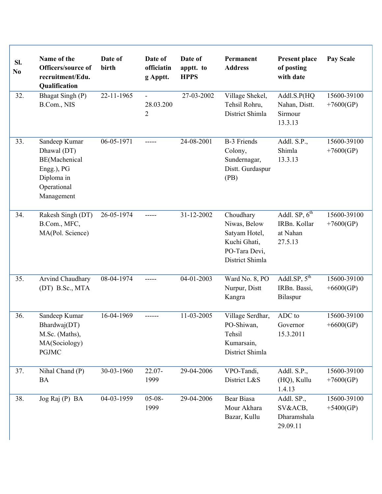| SI.<br>N <sub>0</sub> | Name of the<br>Officers/source of<br>recruitment/Edu.<br>Qualification                                 | Date of<br>birth | Date of<br>officiatin<br>g Apptt.             | Date of<br>apptt. to<br><b>HPPS</b> | Permanent<br><b>Address</b>                                                                    | <b>Present place</b><br>of posting<br>with date           | Pay Scale                  |
|-----------------------|--------------------------------------------------------------------------------------------------------|------------------|-----------------------------------------------|-------------------------------------|------------------------------------------------------------------------------------------------|-----------------------------------------------------------|----------------------------|
| 32.                   | Bhagat Singh (P)<br>B.Com., NIS                                                                        | 22-11-1965       | $\blacksquare$<br>28.03.200<br>$\overline{2}$ | 27-03-2002                          | Village Shekel,<br>Tehsil Rohru,<br>District Shimla                                            | Addl.S.P(HQ<br>Nahan, Distt.<br>Sirmour<br>13.3.13        | 15600-39100<br>$+7600(GP)$ |
| 33.                   | Sandeep Kumar<br>Dhawal (DT)<br>BE(Machenical<br>Engg.), PG<br>Diploma in<br>Operational<br>Management | 06-05-1971       | -----                                         | 24-08-2001                          | <b>B-3 Friends</b><br>Colony,<br>Sundernagar,<br>Distt. Gurdaspur<br>(PB)                      | Addl. S.P.,<br>Shimla<br>13.3.13                          | 15600-39100<br>$+7600(GP)$ |
| 34.                   | Rakesh Singh (DT)<br>B.Com., MFC,<br>MA(Pol. Science)                                                  | 26-05-1974       | -----                                         | 31-12-2002                          | Choudhary<br>Niwas, Below<br>Satyam Hotel,<br>Kuchi Ghati,<br>PO-Tara Devi,<br>District Shimla | Addl. $SP$ , $6th$<br>IRBn. Kollar<br>at Nahan<br>27.5.13 | 15600-39100<br>$+7600(GP)$ |
| 35.                   | Arvind Chaudhary<br>(DT) B.Sc., MTA                                                                    | 08-04-1974       | -----                                         | 04-01-2003                          | Ward No. 8, PO<br>Nurpur, Distt<br>Kangra                                                      | Addl.SP, $5^{th}$<br>IRBn. Bassi,<br>Bilaspur             | 15600-39100<br>$+6600(GP)$ |
| 36.                   | Sandeep Kumar<br>Bhardwaj(DT)<br>M.Sc. (Maths),<br>MA(Sociology)<br><b>PGJMC</b>                       | 16-04-1969       |                                               | 11-03-2005                          | Village Serdhar,<br>PO-Shiwan,<br>Tehsil<br>Kumarsain,<br>District Shimla                      | ADC to<br>Governor<br>15.3.2011                           | 15600-39100<br>$+6600(GP)$ |
| 37.                   | Nihal Chand (P)<br>BA                                                                                  | 30-03-1960       | 22.07-<br>1999                                | 29-04-2006                          | VPO-Tandi,<br>District L&S                                                                     | Addl. S.P.,<br>(HQ), Kullu<br>1.4.13                      | 15600-39100<br>$+7600(GP)$ |
| 38.                   | Jog Raj (P) BA                                                                                         | 04-03-1959       | $05-08-$<br>1999                              | 29-04-2006                          | Bear Biasa<br>Mour Akhara<br>Bazar, Kullu                                                      | Addl. SP.,<br>SV&ACB,<br>Dharamshala<br>29.09.11          | 15600-39100<br>$+5400(GP)$ |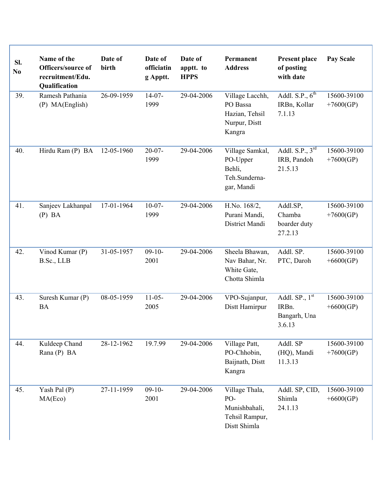| Sl.<br>N <sub>0</sub> | Name of the<br>Officers/source of<br>recruitment/Edu.<br>Qualification | Date of<br>birth | Date of<br>officiatin<br>g Apptt. | Date of<br>apptt. to<br><b>HPPS</b> | Permanent<br><b>Address</b>                                              | <b>Present place</b><br>of posting<br>with date                  | <b>Pay Scale</b>           |
|-----------------------|------------------------------------------------------------------------|------------------|-----------------------------------|-------------------------------------|--------------------------------------------------------------------------|------------------------------------------------------------------|----------------------------|
| 39.                   | Ramesh Pathania<br>(P) MA(English)                                     | 26-09-1959       | $14-07-$<br>1999                  | 29-04-2006                          | Village Lacchh,<br>PO Bassa<br>Hazian, Tehsil<br>Nurpur, Distt<br>Kangra | Addl. S.P., $6th$<br>IRBn, Kollar<br>7.1.13                      | 15600-39100<br>$+7600(GP)$ |
| 40.                   | Hirdu Ram (P) BA                                                       | 12-05-1960       | $20 - 07 -$<br>1999               | 29-04-2006                          | Village Samkal,<br>PO-Upper<br>Behli,<br>Teh.Sunderna-<br>gar, Mandi     | Addl. $S.P., 3rd$<br>IRB, Pandoh<br>21.5.13                      | 15600-39100<br>$+7600(GP)$ |
| 41.                   | Sanjeev Lakhanpal<br>$(P)$ BA                                          | 17-01-1964       | $10-07-$<br>1999                  | 29-04-2006                          | H.No. 168/2,<br>Purani Mandi,<br>District Mandi                          | Addl.SP,<br>Chamba<br>boarder duty<br>27.2.13                    | 15600-39100<br>$+7600(GP)$ |
| 42.                   | Vinod Kumar (P)<br>B.Sc., LLB                                          | 31-05-1957       | $09-10-$<br>2001                  | 29-04-2006                          | Sheela Bhawan,<br>Nav Bahar, Nr.<br>White Gate,<br>Chotta Shimla         | Addl. SP.<br>PTC, Daroh                                          | 15600-39100<br>$+6600(GP)$ |
| 43.                   | Suresh Kumar (P)<br><b>BA</b>                                          | 08-05-1959       | $11-05-$<br>2005                  | 29-04-2006                          | VPO-Sujanpur,<br>Distt Hamirpur                                          | Addl. $SP_{\cdot}$ , $1^{st}$<br>IRBn.<br>Bangarh, Una<br>3.6.13 | 15600-39100<br>$+6600(GP)$ |
| 44.                   | Kuldeep Chand<br>Rana (P) BA                                           | 28-12-1962       | 19.7.99                           | 29-04-2006                          | Village Patt,<br>PO-Chhobin,<br>Baijnath, Distt<br>Kangra                | Addl. SP<br>(HQ), Mandi<br>11.3.13                               | 15600-39100<br>$+7600(GP)$ |
| 45.                   | Yash Pal (P)<br>MA(Eco)                                                | 27-11-1959       | $09-10-$<br>2001                  | 29-04-2006                          | Village Thala,<br>PO-<br>Munishbahali,<br>Tehsil Rampur,<br>Distt Shimla | Addl. SP, CID,<br>Shimla<br>24.1.13                              | 15600-39100<br>$+6600(GP)$ |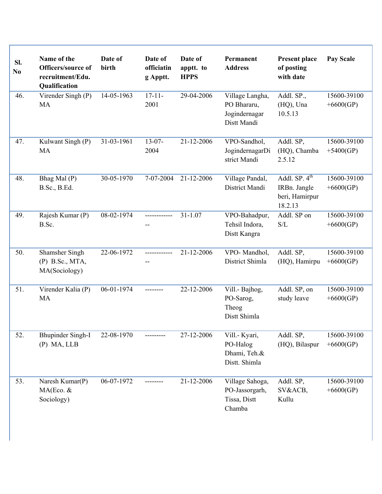| Sl.<br>No | Name of the<br>Officers/source of<br>recruitment/Edu.<br>Qualification | Date of<br>birth | Date of<br>officiatin<br>g Apptt. | Date of<br>apptt. to<br><b>HPPS</b> | Permanent<br><b>Address</b>                                    | <b>Present place</b><br>of posting<br>with date              | Pay Scale                  |
|-----------|------------------------------------------------------------------------|------------------|-----------------------------------|-------------------------------------|----------------------------------------------------------------|--------------------------------------------------------------|----------------------------|
| 46.       | Virender Singh (P)<br><b>MA</b>                                        | 14-05-1963       | $17 - 11 -$<br>2001               | 29-04-2006                          | Village Langha,<br>PO Bhararu,<br>Jogindernagar<br>Distt Mandi | Addl. SP.,<br>(HQ), Una<br>10.5.13                           | 15600-39100<br>$+6600(GP)$ |
| 47.       | Kulwant Singh (P)<br>MA                                                | 31-03-1961       | $13-07-$<br>2004                  | 21-12-2006                          | VPO-Sandhol,<br>JogindernagarDi<br>strict Mandi                | Addl. SP,<br>(HQ), Chamba<br>2.5.12                          | 15600-39100<br>$+5400(GP)$ |
| 48.       | Bhag Mal (P)<br>B.Sc., B.Ed.                                           | 30-05-1970       | 7-07-2004                         | 21-12-2006                          | Village Pandal,<br>District Mandi                              | Addl. $SP. 4th$<br>IRBn. Jangle<br>beri, Hamirpur<br>18.2.13 | 15600-39100<br>$+6600(GP)$ |
| 49.       | Rajesh Kumar (P)<br>B.Sc.                                              | 08-02-1974       | ------------                      | $31 - 1.07$                         | VPO-Bahadpur,<br>Tehsil Indora,<br>Distt Kangra                | Addl. SP on<br>S/L                                           | 15600-39100<br>$+6600(GP)$ |
| 50.       | Shamsher Singh<br>$(P)$ B.Sc., MTA,<br>MA(Sociology)                   | 22-06-1972       | ------------<br>--                | 21-12-2006                          | VPO-Mandhol,<br>District Shimla                                | Addl. SP,<br>(HQ), Hamirpu                                   | 15600-39100<br>$+6600(GP)$ |
| 51.       | Virender Kalia (P)<br>MA                                               | 06-01-1974       | --------                          | 22-12-2006                          | Vill.- Bajhog,<br>PO-Sarog,<br>Theog<br>Distt Shimla           | Addl. SP, on<br>study leave                                  | 15600-39100<br>$+6600(GP)$ |
| 52.       | <b>Bhupinder Singh-I</b><br>$(P)$ MA, LLB                              | 22-08-1970       |                                   | 27-12-2006                          | Vill.- Kyari,<br>PO-Halog<br>Dhami, Teh.&<br>Distt. Shimla     | Addl. SP,<br>(HQ), Bilaspur                                  | 15600-39100<br>$+6600(GP)$ |
| 53.       | Naresh Kumar(P)<br>MA(Eco. &<br>Sociology)                             | 06-07-1972       |                                   | 21-12-2006                          | Village Sahoga,<br>PO-Jassorgarh,<br>Tissa, Distt<br>Chamba    | Addl. SP,<br>SV&ACB,<br>Kullu                                | 15600-39100<br>$+6600(GP)$ |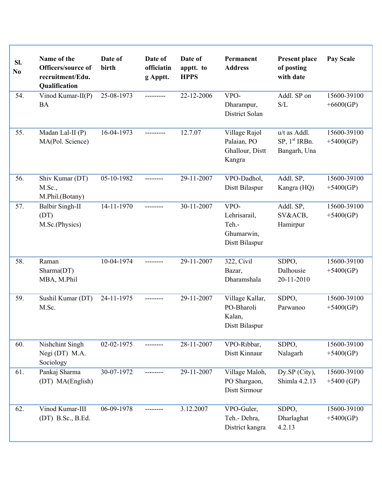| Sl.<br>N <sub>0</sub> | Name of the<br>Officers/source of<br>recruitment/Edu.<br>Qualification | Date of<br>birth | Date of<br>officiatin<br>g Apptt. | Date of<br>apptt. to<br><b>HPPS</b> | Permanent<br><b>Address</b>                                   | <b>Present place</b><br>of posting<br>with date                  | <b>Pay Scale</b>            |
|-----------------------|------------------------------------------------------------------------|------------------|-----------------------------------|-------------------------------------|---------------------------------------------------------------|------------------------------------------------------------------|-----------------------------|
| 54.                   | Vinod Kumar-II(P)<br><b>BA</b>                                         | 25-08-1973       | ---------                         | 22-12-2006                          | VPO-<br>Dharampur,<br>District Solan                          | Addl. SP on<br>$\ensuremath{\mathrm{S}}/\ensuremath{\mathrm{L}}$ | 15600-39100<br>$+6600(GP)$  |
| 55.                   | Madan Lal-II (P)<br>MA(Pol. Science)                                   | 16-04-1973       | ---------                         | 12.7.07                             | Village Rajol<br>Palaian, PO<br>Ghallour, Distt<br>Kangra     | u/t as Addl.<br>SP, 1 <sup>st</sup> IRBn.<br>Bangarh, Una        | 15600-39100<br>$+5400(GP)$  |
| 56.                   | Shiv Kumar (DT)<br>M.Sc.,<br>M.Phil.(Botany)                           | 05-10-1982       | --------                          | 29-11-2007                          | VPO-Dadhol,<br>Distt Bilaspur                                 | Addl. SP,<br>Kangra (HQ)                                         | 15600-39100<br>$+5400(GP)$  |
| 57.                   | <b>Balbir Singh-II</b><br>(DT)<br>M.Sc.(Physics)                       | 14-11-1970       | --------                          | 30-11-2007                          | VPO-<br>Lehrisarail,<br>Teh.-<br>Ghumarwin,<br>Distt Bilaspur | Addl. SP,<br>SV&ACB,<br>Hamirpur                                 | 15600-39100<br>$+5400(GP)$  |
| 58.                   | Raman<br>Sharma(DT)<br>MBA, M.Phil                                     | 10-04-1974       | --------                          | 29-11-2007                          | 322, Civil<br>Bazar,<br>Dharamshala                           | SDPO,<br>Dalhousie<br>20-11-2010                                 | 15600-39100<br>$+5400(GP)$  |
| 59.                   | Sushil Kumar (DT)<br>M.Sc.                                             | 24-11-1975       | --------                          | 29-11-2007                          | Village Kallar,<br>PO-Bharoli<br>Kalan,<br>Distt Bilaspur     | SDPO,<br>Parwanoo                                                | 15600-39100<br>$+5400(GP)$  |
| 60.                   | Nishchint Singh<br>Negi (DT) M.A.<br>Sociology                         | 02-02-1975       |                                   | 28-11-2007                          | VPO-Ribbar,<br>Distt Kinnaur                                  | SDPO,<br>Nalagarh                                                | 15600-39100<br>$+5400(GP)$  |
| 61.                   | Pankaj Sharma<br>(DT) MA(English)                                      | 30-07-1972       |                                   | 29-11-2007                          | Village Maloh,<br>PO Shargaon,<br>Distt Sirmour               | Dy.SP (City),<br>Shimla 4.2.13                                   | 15600-39100<br>$+5400$ (GP) |
| 62.                   | Vinod Kumar-III<br>(DT) B.Sc., B.Ed.                                   | 06-09-1978       |                                   | 3.12.2007                           | VPO-Guler,<br>Teh.- Dehra,<br>District kangra                 | SDPO,<br>Dharlaghat<br>4.2.13                                    | 15600-39100<br>$+5400(GP)$  |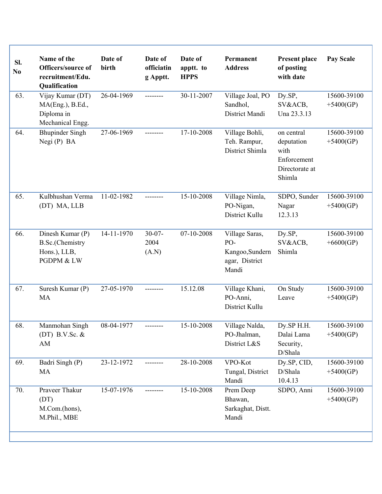| SI.<br>No | Name of the<br>Officers/source of<br>recruitment/Edu.<br>Qualification    | Date of<br>birth | Date of<br>officiatin<br>g Apptt. | Date of<br>apptt. to<br><b>HPPS</b> | Permanent<br><b>Address</b>                                         | <b>Present place</b><br>of posting<br>with date                             | <b>Pay Scale</b>           |
|-----------|---------------------------------------------------------------------------|------------------|-----------------------------------|-------------------------------------|---------------------------------------------------------------------|-----------------------------------------------------------------------------|----------------------------|
| 63.       | Vijay Kumar (DT)<br>MA(Eng.), B.Ed.,<br>Diploma in<br>Mechanical Engg.    | 26-04-1969       | --------                          | 30-11-2007                          | Village Joal, PO<br>Sandhol,<br>District Mandi                      | Dy.SP,<br>SV&ACB,<br>Una 23.3.13                                            | 15600-39100<br>$+5400(GP)$ |
| 64.       | <b>Bhupinder Singh</b><br>Negi (P) BA                                     | 27-06-1969       | --------                          | 17-10-2008                          | Village Bohli,<br>Teh. Rampur,<br>District Shimla                   | on central<br>deputation<br>with<br>Enforcement<br>Directorate at<br>Shimla | 15600-39100<br>$+5400(GP)$ |
| 65.       | Kulbhushan Verma<br>(DT) MA, LLB                                          | 11-02-1982       | --------                          | 15-10-2008                          | Village Nimla,<br>PO-Nigan,<br>District Kullu                       | SDPO, Sunder<br>Nagar<br>12.3.13                                            | 15600-39100<br>$+5400(GP)$ |
| 66.       | Dinesh Kumar (P)<br><b>B.Sc.</b> (Chemistry<br>Hons.), LLB,<br>PGDPM & LW | 14-11-1970       | $30-07-$<br>2004<br>(A.N)         | 07-10-2008                          | Village Saras,<br>PO-<br>Kangoo, Sundern<br>agar, District<br>Mandi | Dy.SP,<br>SV&ACB,<br>Shimla                                                 | 15600-39100<br>$+6600(GP)$ |
| 67.       | Suresh Kumar (P)<br>MA                                                    | 27-05-1970       | ---------                         | 15.12.08                            | Village Khani,<br>PO-Anni,<br>District Kullu                        | On Study<br>Leave                                                           | 15600-39100<br>$+5400(GP)$ |
| 68.       | Manmohan Singh<br>(DT) B.V.Sc. $&$<br>AM                                  | 08-04-1977       |                                   | 15-10-2008                          | Village Nalda,<br>PO-Jhalman,<br>District L&S                       | Dy.SP H.H.<br>Dalai Lama<br>Security,<br>D/Shala                            | 15600-39100<br>$+5400(GP)$ |
| 69.       | Badri Singh (P)<br>MA                                                     | 23-12-1972       |                                   | 28-10-2008                          | VPO-Kot<br>Tungal, District<br>Mandi                                | Dy.SP, CID,<br>D/Shala<br>10.4.13                                           | 15600-39100<br>$+5400(GP)$ |
| 70.       | Praveer Thakur<br>(DT)<br>M.Com.(hons),<br>M.Phil., MBE                   | 15-07-1976       |                                   | 15-10-2008                          | Prem Deep<br>Bhawan,<br>Sarkaghat, Distt.<br>Mandi                  | SDPO, Anni                                                                  | 15600-39100<br>$+5400(GP)$ |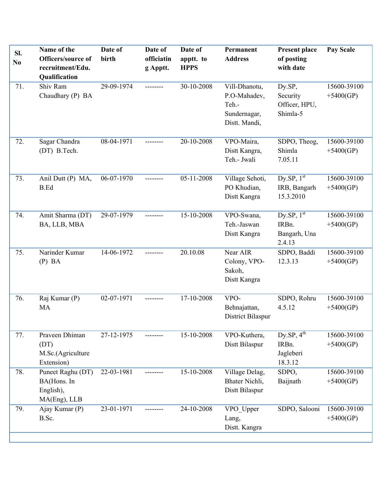| Sl.<br>No | Name of the<br>Officers/source of<br>recruitment/Edu.<br><b>Qualification</b> | Date of<br>birth | Date of<br>officiatin<br>g Apptt. | Date of<br>apptt. to<br><b>HPPS</b> | Permanent<br><b>Address</b>                                             | <b>Present place</b><br>of posting<br>with date     | Pay Scale                  |
|-----------|-------------------------------------------------------------------------------|------------------|-----------------------------------|-------------------------------------|-------------------------------------------------------------------------|-----------------------------------------------------|----------------------------|
| 71.       | Shiv Ram<br>Chaudhary (P) BA                                                  | 29-09-1974       | --------                          | 30-10-2008                          | Vill-Dhanotu,<br>P.O-Mahadev,<br>Teh.-<br>Sundernagar,<br>Distt. Mandi, | Dy.SP,<br>Security<br>Officer, HPU,<br>Shimla-5     | 15600-39100<br>$+5400(GP)$ |
| 72.       | Sagar Chandra<br>(DT) B.Tech.                                                 | 08-04-1971       | ---------                         | 20-10-2008                          | VPO-Maira,<br>Distt Kangra,<br>Teh.- Jwali                              | SDPO, Theog,<br>Shimla<br>7.05.11                   | 15600-39100<br>$+5400(GP)$ |
| 73.       | Anil Dutt (P) MA,<br><b>B.Ed</b>                                              | 06-07-1970       |                                   | 05-11-2008                          | Village Sehoti,<br>PO Khudian,<br>Distt Kangra                          | Dy.SP, $1st$<br>IRB, Bangarh<br>15.3.2010           | 15600-39100<br>$+5400(GP)$ |
| 74.       | Amit Sharma (DT)<br>BA, LLB, MBA                                              | 29-07-1979       | --------                          | 15-10-2008                          | VPO-Swana,<br>Teh.-Jaswan<br>Distt Kangra                               | Dy.SP, $1st$<br>IRBn.<br>Bangarh, Una<br>2.4.13     | 15600-39100<br>$+5400(GP)$ |
| 75.       | Narinder Kumar<br>$(P)$ BA                                                    | 14-06-1972       | --------                          | 20.10.08                            | Near AIR<br>Colony, VPO-<br>Sakoh,<br>Distt Kangra                      | SDPO, Baddi<br>12.3.13                              | 15600-39100<br>$+5400(GP)$ |
| 76.       | Raj Kumar (P)<br>MA                                                           | 02-07-1971       |                                   | 17-10-2008                          | VPO-<br>Behnajattan,<br>District Bilaspur                               | SDPO, Rohru<br>4.5.12                               | 15600-39100<br>$+5400(GP)$ |
| 77.       | Praveen Dhiman<br>(DT)<br>M.Sc.(Agriculture<br>Extension)                     | 27-12-1975       |                                   | 15-10-2008                          | VPO-Kuthera,<br>Distt Bilaspur                                          | $Dy$ .SP, $4^{th}$<br>IRBn.<br>Jagleberi<br>18.3.12 | 15600-39100<br>$+5400(GP)$ |
| 78.       | Puneet Raghu (DT)<br>BA(Hons. In<br>English),<br>MA(Eng), LLB                 | 22-03-1981       | -------                           | 15-10-2008                          | Village Delag,<br>Bhater Nichli,<br>Distt Bilaspur                      | SDPO,<br>Baijnath                                   | 15600-39100<br>$+5400(GP)$ |
| 79.       | Ajay Kumar (P)<br>B.Sc.                                                       | 23-01-1971       |                                   | 24-10-2008                          | VPO Upper<br>Lang,<br>Distt. Kangra                                     | SDPO, Salooni                                       | 15600-39100<br>$+5400(GP)$ |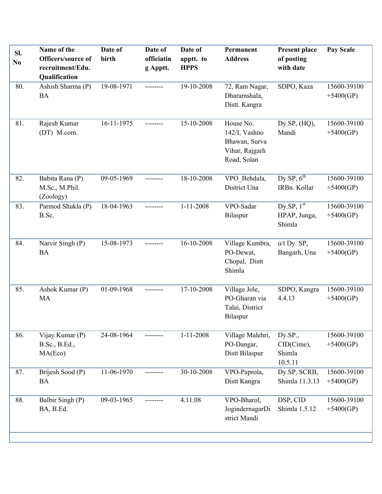| Sl.<br>No | Name of the<br>Officers/source of<br>recruitment/Edu.<br>Qualification | Date of<br>birth | Date of<br>officiatin<br>g Apptt. | Date of<br>apptt. to<br><b>HPPS</b> | Permanent<br><b>Address</b>                                                  | <b>Present place</b><br>of posting<br>with date | Pay Scale                  |
|-----------|------------------------------------------------------------------------|------------------|-----------------------------------|-------------------------------------|------------------------------------------------------------------------------|-------------------------------------------------|----------------------------|
| 80.       | Ashish Sharma (P)<br><b>BA</b>                                         | 19-08-1971       | --------                          | 19-10-2008                          | 72, Ram Nagar,<br>Dharamshala,<br>Distt. Kangra                              | SDPO, Kaza                                      | 15600-39100<br>$+5400(GP)$ |
| 81.       | Rajesh Kumar<br>(DT) M.com.                                            | 16-11-1975       | --------                          | 15-10-2008                          | House No.<br>142/I, Vashno<br>Bhawan, Surva<br>Vihar, Rajgarh<br>Road, Solan | Dy.SP, $(HQ)$ ,<br>Mandi                        | 15600-39100<br>$+5400(GP)$ |
| 82.       | Babita Rana (P)<br>M.Sc., M.Phil.<br>(Zoology)                         | 09-05-1969       | ---------                         | 18-10-2008                          | VPO Behdala,<br>District Una                                                 | Dy.SP, $6^{th}$<br>IRBn. Kollar                 | 15600-39100<br>$+5400(GP)$ |
| 83.       | Parmod Shukla (P)<br>B.Sc.                                             | 18-04-1963       | --------                          | $1 - 11 - 2008$                     | VPO-Sadar<br>Bilaspur                                                        | Dy.SP, $1st$<br>HPAP, Junga,<br>Shimla          | 15600-39100<br>$+5400(GP)$ |
| 84.       | Narvir Singh (P)<br><b>BA</b>                                          | 15-08-1973       | --------                          | 16-10-2008                          | Village Kumbra,<br>PO-Dewat,<br>Chopal, Distt<br>Shimla                      | u/t Dy. SP,<br>Bangarh, Una                     | 15600-39100<br>$+5400(GP)$ |
| 85.       | Ashok Kumar (P)<br>MA                                                  | 01-09-1968       | --------                          | 17-10-2008                          | Village Jole,<br>PO-Gharan via<br>Talai, District<br>Bilaspur                | SDPO, Kangra<br>4.4.13                          | 15600-39100<br>$+5400(GP)$ |
| 86.       | Vijay Kumar (P)<br>B.Sc., B.Ed.,<br>MA(Eco)                            | 24-08-1964       |                                   | $1 - 11 - 2008$                     | Village Malehri,<br>PO-Dangar,<br>Distt Bilaspur                             | Dy.SP.,<br>CID(Cime),<br>Shimla<br>10.5.11      | 15600-39100<br>$+5400(GP)$ |
| 87.       | Brijesh Sood (P)<br><b>BA</b>                                          | 11-06-1970       | --------                          | 30-10-2008                          | VPO-Paprola,<br>Distt Kangra                                                 | Dy.SP, SCRB,<br>Shimla 11.3.13                  | 15600-39100<br>$+5400(GP)$ |
| 88.       | Balbir Singh (P)<br>BA, B.Ed.                                          | 09-03-1965       | --------                          | 4.11.08                             | VPO-Bharol,<br>JogindernagarDi<br>strict Mandi                               | DSP, CID<br>Shimla 1.5.12                       | 15600-39100<br>$+5400(GP)$ |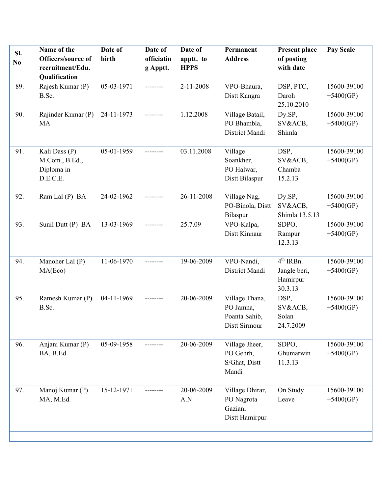| SI.<br>No | Name of the<br>Officers/source of<br>recruitment/Edu.<br>Qualification | Date of<br>birth | Date of<br>officiatin<br>g Apptt. | Date of<br>apptt. to<br><b>HPPS</b> | Permanent<br><b>Address</b>                                   | Present place<br>of posting<br>with date           | Pay Scale                  |
|-----------|------------------------------------------------------------------------|------------------|-----------------------------------|-------------------------------------|---------------------------------------------------------------|----------------------------------------------------|----------------------------|
| 89.       | Rajesh Kumar (P)<br>B.Sc.                                              | 05-03-1971       | --------                          | 2-11-2008                           | VPO-Bhaura,<br>Distt Kangra                                   | DSP, PTC,<br>Daroh<br>25.10.2010                   | 15600-39100<br>$+5400(GP)$ |
| 90.       | Rajinder Kumar (P)<br>MA                                               | 24-11-1973       | --------                          | 1.12.2008                           | Village Batail,<br>PO Bhambla,<br>District Mandi              | Dy.SP,<br>SV&ACB,<br>Shimla                        | 15600-39100<br>$+5400(GP)$ |
| 91.       | Kali Dass (P)<br>M.Com., B.Ed.,<br>Diploma in<br>D.E.C.E.              | 05-01-1959       |                                   | 03.11.2008                          | Village<br>Soankher,<br>PO Halwar,<br>Distt Bilaspur          | DSP,<br>SV&ACB,<br>Chamba<br>15.2.13               | 15600-39100<br>$+5400(GP)$ |
| 92.       | Ram Lal (P) BA                                                         | 24-02-1962       | --------                          | 26-11-2008                          | Village Nag,<br>PO-Binola, Distt<br>Bilaspur                  | Dy.SP,<br>SV&ACB,<br>Shimla 13.5.13                | 15600-39100<br>$+5400(GP)$ |
| 93.       | Sunil Dutt (P) BA                                                      | 13-03-1969       |                                   | 25.7.09                             | VPO-Kalpa,<br>Distt Kinnaur                                   | SDPO,<br>Rampur<br>12.3.13                         | 15600-39100<br>$+5400(GP)$ |
| 94.       | Manoher Lal (P)<br>MA(Eco)                                             | 11-06-1970       |                                   | 19-06-2009                          | VPO-Nandi,<br>District Mandi                                  | $4th$ IRBn.<br>Jangle beri,<br>Hamirpur<br>30.3.13 | 15600-39100<br>$+5400(GP)$ |
| 95.       | Ramesh Kumar (P)<br>B.Sc.                                              | 04-11-1969       | --------                          | 20-06-2009                          | Village Thana,<br>PO Jamna,<br>Poanta Sahib,<br>Distt Sirmour | DSP,<br>SV&ACB,<br>Solan<br>24.7.2009              | 15600-39100<br>$+5400(GP)$ |
| 96.       | Anjani Kumar (P)<br>BA, B.Ed.                                          | 05-09-1958       |                                   | 20-06-2009                          | Village Jheer,<br>PO Gehrh,<br>S/Ghat, Distt<br>Mandi         | SDPO,<br>Ghumarwin<br>11.3.13                      | 15600-39100<br>$+5400(GP)$ |
| 97.       | Manoj Kumar (P)<br>MA, M.Ed.                                           | 15-12-1971       |                                   | 20-06-2009<br>A.N                   | Village Dhirar,<br>PO Nagrota<br>Gazian,<br>Distt Hamirpur    | On Study<br>Leave                                  | 15600-39100<br>$+5400(GP)$ |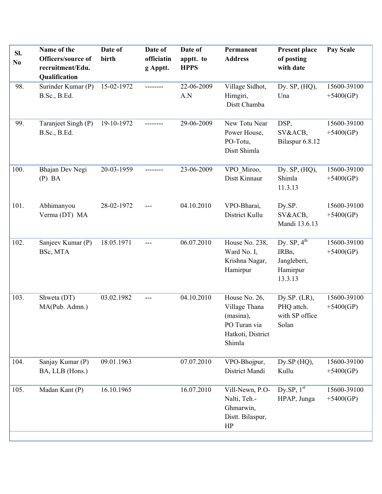| Sl.<br>N <sub>0</sub> | Name of the<br>Officers/source of<br>recruitment/Edu.<br>Qualification | Date of<br>birth | Date of<br>officiatin<br>g Apptt. | Date of<br>apptt. to<br><b>HPPS</b> | Permanent<br><b>Address</b>                                                                | Present place<br>of posting<br>with date                                | Pay Scale                  |
|-----------------------|------------------------------------------------------------------------|------------------|-----------------------------------|-------------------------------------|--------------------------------------------------------------------------------------------|-------------------------------------------------------------------------|----------------------------|
| 98.                   | Surinder Kumar (P)<br>B.Sc., B.Ed.                                     | 15-02-1972       | --------                          | 22-06-2009<br>A.N                   | Village Sidhot,<br>Himgiri,<br>Distt Chamba                                                | Dy. SP, (HQ),<br>Una                                                    | 15600-39100<br>$+5400(GP)$ |
| 99.                   | Taranjeet Singh (P)<br>B.Sc., B.Ed.                                    | 19-10-1972       |                                   | 29-06-2009                          | New Totu Near<br>Power House,<br>PO-Totu,<br>Distt Shimla                                  | DSP,<br>SV&ACB,<br>Bilaspur 6.8.12                                      | 15600-39100<br>$+5400(GP)$ |
| 100.                  | Bhajan Dev Negi<br>$(P)$ BA                                            | 20-03-1959       | --------                          | 23-06-2009                          | VPO Miroo,<br>Distt Kinnaur                                                                | Dy. $SP$ , $(HQ)$ ,<br>Shimla<br>11.3.13                                | 15600-39100<br>$+5400(GP)$ |
| 101.                  | Abhimanyou<br>Verma (DT) MA                                            | 28-02-1972       |                                   | 04.10.2010                          | VPO-Bharai,<br>District Kullu                                                              | Dy.SP.<br>SV&ACB,<br>Mandi 13.6.13                                      | 15600-39100<br>$+5400(GP)$ |
| 102.                  | Sanjeev Kumar (P)<br>BSc, MTA                                          | 18.05.1971       | ---                               | 06.07.2010                          | House No. 238,<br>Ward No. I,<br>Krishna Nagar,<br>Hamirpur                                | Dy. $SP, 4th$<br>IRB <sub>n</sub><br>Jangleberi,<br>Hamirpur<br>13.3.13 | 15600-39100<br>$+5400(GP)$ |
| 103.                  | Shweta (DT)<br>MA(Pub. Admn.)                                          | 03.02.1982       | $---$                             | 04.10.2010                          | House No. 26,<br>Village Thana<br>(masina),<br>PO Turan via<br>Hatkoti, District<br>Shimla | Dy.SP. $(LR)$ ,<br>PHQ attch.<br>with SP office<br>Solan                | 15600-39100<br>$+5400(GP)$ |
| 104.                  | Sanjay Kumar (P)<br>BA, LLB (Hons.)                                    | 09.01.1963       |                                   | 07.07.2010                          | VPO-Bhojpur,<br>District Mandi                                                             | Dy.SP (HQ),<br>Kullu                                                    | 15600-39100<br>$+5400(GP)$ |
| 105.                  | Madan Kant (P)                                                         | 16.10.1965       |                                   | 16.07.2010                          | Vill-Newn, P.O-<br>Nalti, Teh.-<br>Ghmarwin,<br>Distt. Bilaspur,<br>HP                     | Dy.SP, $1st$<br>HPAP, Junga                                             | 15600-39100<br>$+5400(GP)$ |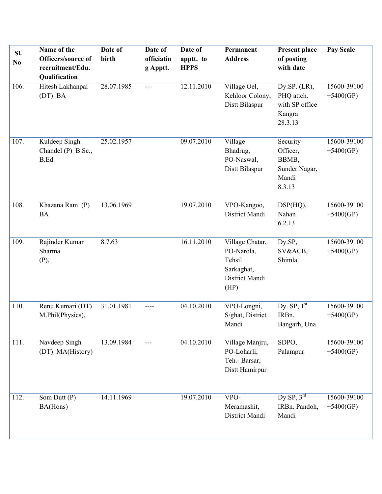| SI.<br>N <sub>0</sub> | Name of the<br>Officers/source of<br>recruitment/Edu.<br>Qualification | Date of<br>birth | Date of<br>officiatin<br>g Apptt. | Date of<br>apptt. to<br><b>HPPS</b> | Permanent<br><b>Address</b>                                                     | <b>Present place</b><br>of posting<br>with date                      | <b>Pay Scale</b>           |
|-----------------------|------------------------------------------------------------------------|------------------|-----------------------------------|-------------------------------------|---------------------------------------------------------------------------------|----------------------------------------------------------------------|----------------------------|
| 106.                  | Hitesh Lakhanpal<br>(DT) BA                                            | 28.07.1985       | $---$                             | 12.11.2010                          | Village Oel,<br>Kehloor Colony,<br>Distt Bilaspur                               | Dy.SP. $(LR)$ ,<br>PHQ attch.<br>with SP office<br>Kangra<br>28.3.13 | 15600-39100<br>$+5400(GP)$ |
| 107.                  | Kuldeep Singh<br>Chandel (P) B.Sc.,<br>B.Ed.                           | 25.02.1957       |                                   | 09.07.2010                          | Village<br>Bhadrug,<br>PO-Naswal,<br>Distt Bilaspur                             | Security<br>Officer,<br>BBMB,<br>Sunder Nagar,<br>Mandi<br>8.3.13    | 15600-39100<br>$+5400(GP)$ |
| 108.                  | Khazana Ram (P)<br><b>BA</b>                                           | 13.06.1969       |                                   | 19.07.2010                          | VPO-Kangoo,<br>District Mandi                                                   | DSP(HQ),<br>Nahan<br>6.2.13                                          | 15600-39100<br>$+5400(GP)$ |
| 109.                  | Rajinder Kumar<br>Sharma<br>(P),                                       | 8.7.63           |                                   | 16.11.2010                          | Village Chatar,<br>PO-Narola,<br>Tehsil<br>Sarkaghat,<br>District Mandi<br>(HP) | Dy.SP,<br>SV&ACB,<br>Shimla                                          | 15600-39100<br>$+5400(GP)$ |
| 110.                  | Renu Kumari (DT)<br>M.Phil(Physics),                                   | 31.01.1981       | ----                              | 04.10.2010                          | VPO-Longni,<br>S/ghat, District<br>Mandi                                        | Dy. $\overline{\text{SP}, 1^{\text{st}}}$<br>IRBn.<br>Bangarh, Una   | 15600-39100<br>$+5400(GP)$ |
| 111.                  | Navdeep Singh<br>(DT) MA(History)                                      | 13.09.1984       |                                   | 04.10.2010                          | Village Manjru,<br>PO-Loharli,<br>Teh.- Barsar,<br>Distt Hamirpur               | SDPO,<br>Palampur                                                    | 15600-39100<br>$+5400(GP)$ |
| 112.                  | Som Dutt (P)<br>BA(Hons)                                               | 14.11.1969       |                                   | 19.07.2010                          | VPO-<br>Meramashit,<br>District Mandi                                           | Dy.SP, $3^{\text{rd}}$<br>IRBn. Pandoh,<br>Mandi                     | 15600-39100<br>$+5400(GP)$ |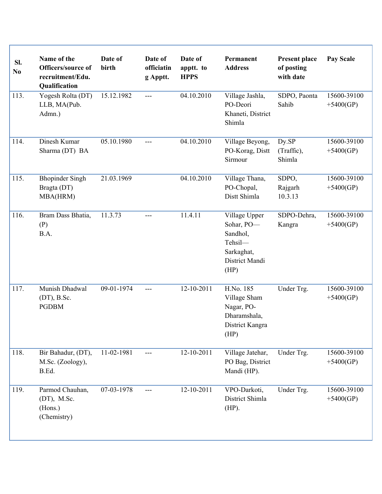| SI.<br>No | Name of the<br>Officers/source of<br>recruitment/Edu.<br>Qualification | Date of<br>birth | Date of<br>officiatin<br>g Apptt. | Date of<br>apptt. to<br><b>HPPS</b> | Permanent<br><b>Address</b>                                                                | <b>Present place</b><br>of posting<br>with date | <b>Pay Scale</b>           |
|-----------|------------------------------------------------------------------------|------------------|-----------------------------------|-------------------------------------|--------------------------------------------------------------------------------------------|-------------------------------------------------|----------------------------|
| 113.      | Yogesh Rolta (DT)<br>LLB, MA(Pub.<br>Admn.)                            | 15.12.1982       | $---$                             | 04.10.2010                          | Village Jashla,<br>PO-Deori<br>Khaneti, District<br>Shimla                                 | SDPO, Paonta<br>Sahib                           | 15600-39100<br>$+5400(GP)$ |
| 114.      | Dinesh Kumar<br>Sharma (DT) BA                                         | 05.10.1980       | ---                               | 04.10.2010                          | Village Beyong,<br>PO-Korag, Distt<br>Sirmour                                              | Dy.SP<br>(Traffic),<br>Shimla                   | 15600-39100<br>$+5400(GP)$ |
| 115.      | <b>Bhopinder Singh</b><br>Bragta (DT)<br>MBA(HRM)                      | 21.03.1969       |                                   | 04.10.2010                          | Village Thana,<br>PO-Chopal,<br>Distt Shimla                                               | SDPO,<br>Rajgarh<br>10.3.13                     | 15600-39100<br>$+5400(GP)$ |
| 116.      | Bram Dass Bhatia,<br>(P)<br>B.A.                                       | 11.3.73          | ---                               | 11.4.11                             | Village Upper<br>Sohar, PO-<br>Sandhol,<br>Tehsil-<br>Sarkaghat,<br>District Mandi<br>(HP) | SDPO-Dehra,<br>Kangra                           | 15600-39100<br>$+5400(GP)$ |
| 117.      | Munish Dhadwal<br>$(DT)$ , B.Sc.<br><b>PGDBM</b>                       | 09-01-1974       | $---$                             | 12-10-2011                          | H.No. 185<br>Village Sham<br>Nagar, PO-<br>Dharamshala,<br>District Kangra<br>(HP)         | Under Trg.                                      | 15600-39100<br>$+5400(GP)$ |
| 118.      | Bir Bahadur, (DT),<br>M.Sc. (Zoology),<br>B.Ed.                        | 11-02-1981       |                                   | 12-10-2011                          | Village Jatehar,<br>PO Bag, District<br>Mandi (HP).                                        | Under Trg.                                      | 15600-39100<br>$+5400(GP)$ |
| 119.      | Parmod Chauhan,<br>$(DT)$ , M.Sc.<br>(Hons.)<br>(Chemistry)            | 07-03-1978       | $---$                             | 12-10-2011                          | VPO-Darkoti,<br>District Shimla<br>$(HP)$ .                                                | Under Trg.                                      | 15600-39100<br>$+5400(GP)$ |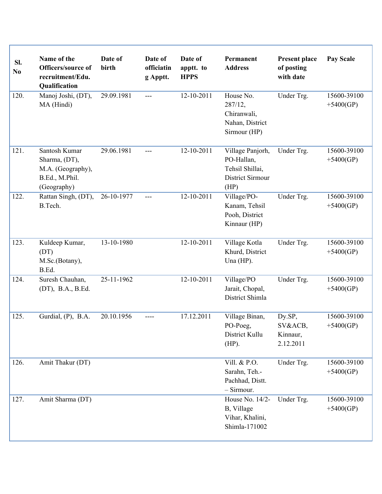| Sl.<br>No | Name of the<br>Officers/source of<br>recruitment/Edu.<br>Qualification               | Date of<br>birth | Date of<br>officiatin<br>g Apptt. | Date of<br>apptt. to<br><b>HPPS</b> | Permanent<br><b>Address</b>                                                          | <b>Present place</b><br>of posting<br>with date | <b>Pay Scale</b>           |
|-----------|--------------------------------------------------------------------------------------|------------------|-----------------------------------|-------------------------------------|--------------------------------------------------------------------------------------|-------------------------------------------------|----------------------------|
| 120.      | Manoj Joshi, (DT),<br>MA (Hindi)                                                     | 29.09.1981       | $---$                             | 12-10-2011                          | House No.<br>287/12,<br>Chiranwali,<br>Nahan, District<br>Sirmour (HP)               | Under Trg.                                      | 15600-39100<br>$+5400(GP)$ |
| 121.      | Santosh Kumar<br>Sharma, (DT),<br>M.A. (Geography),<br>B.Ed., M.Phil.<br>(Geography) | 29.06.1981       | ---                               | 12-10-2011                          | Village Panjorh,<br>PO-Hallan,<br>Tehsil Shillai,<br><b>District Sirmour</b><br>(HP) | Under Trg.                                      | 15600-39100<br>$+5400(GP)$ |
| 122.      | Rattan Singh, (DT),<br>B.Tech.                                                       | 26-10-1977       | ---                               | 12-10-2011                          | Village/PO-<br>Kanam, Tehsil<br>Pooh, District<br>Kinnaur (HP)                       | Under Trg.                                      | 15600-39100<br>$+5400(GP)$ |
| 123.      | Kuldeep Kumar,<br>(DT)<br>M.Sc.(Botany),<br>B.Ed.                                    | 13-10-1980       |                                   | 12-10-2011                          | Village Kotla<br>Khurd, District<br>Una $(HP)$ .                                     | Under Trg.                                      | 15600-39100<br>$+5400(GP)$ |
| 124.      | Suresh Chauhan,<br>(DT), B.A., B.Ed.                                                 | 25-11-1962       |                                   | 12-10-2011                          | Village/PO<br>Jarait, Chopal,<br>District Shimla                                     | Under Trg.                                      | 15600-39100<br>$+5400(GP)$ |
| 125.      | Gurdial, $(P)$ , B.A.                                                                | 20.10.1956       |                                   | 17.12.2011                          | Village Binan,<br>PO-Poeg,<br>District Kullu<br>$(HP)$ .                             | Dy.SP,<br>SV&ACB,<br>Kinnaur,<br>2.12.2011      | 15600-39100<br>$+5400(GP)$ |
| 126.      | Amit Thakur (DT)                                                                     |                  |                                   |                                     | Vill. & P.O.<br>Sarahn, Teh.-<br>Pachhad, Distt.<br>$-$ Sirmour.                     | Under Trg.                                      | 15600-39100<br>$+5400(GP)$ |
| 127.      | Amit Sharma (DT)                                                                     |                  |                                   |                                     | House No. 14/2-<br>B, Village<br>Vihar, Khalini,<br>Shimla-171002                    | Under Trg.                                      | 15600-39100<br>$+5400(GP)$ |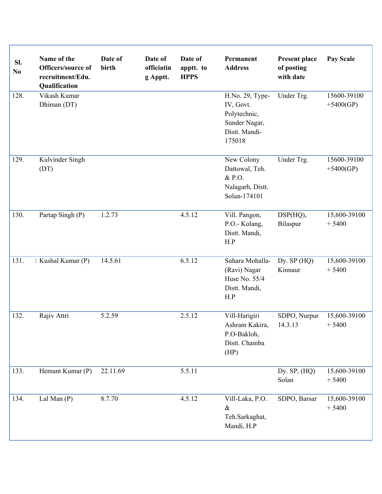| SI.<br>N <sub>0</sub> | Name of the<br>Officers/source of<br>recruitment/Edu.<br>Qualification | Date of<br>birth | Date of<br>officiatin<br>g Apptt. | Date of<br>apptt. to<br><b>HPPS</b> | Permanent<br><b>Address</b>                                                              | <b>Present place</b><br>of posting<br>with date | <b>Pay Scale</b>           |
|-----------------------|------------------------------------------------------------------------|------------------|-----------------------------------|-------------------------------------|------------------------------------------------------------------------------------------|-------------------------------------------------|----------------------------|
| 128.                  | Vikash Kumar<br>Dhiman (DT)                                            |                  |                                   |                                     | H.No. 29, Type-<br>IV, Govt.<br>Polytechnic,<br>Sunder Nagar,<br>Distt. Mandi-<br>175018 | Under Trg.                                      | 15600-39100<br>$+5400(GP)$ |
| 129.                  | Kulvinder Singh<br>(DT)                                                |                  |                                   |                                     | New Colony<br>Dattowal, Teh.<br>& P.O.<br>Nalagarh, Distt.<br>Solan-174101               | Under Trg.                                      | 15600-39100<br>$+5400(GP)$ |
| 130.                  | Partap Singh (P)                                                       | 1.2.73           |                                   | 4.5.12                              | Vill. Pangon,<br>P.O.- Kolang,<br>Distt. Mandi,<br>H.P                                   | $DSP(HQ)$ ,<br>Bilaspur                         | 15,600-39100<br>$+5400$    |
| 131.                  | Kushal Kumar (P)                                                       | 14.5.61          |                                   | 6.5.12                              | Suhara Mohalla-<br>(Ravi) Nagar<br>Huse No. 55/4<br>Distt. Mandi,<br>H.P                 | Dy. $SP(HQ)$<br>Kinnaur                         | 15,600-39100<br>$+5400$    |
| 132.                  | Rajiv Attri                                                            | 5.2.59           |                                   | 2.5.12                              | Vill-Harigiri<br>Ashram Kakira,<br>P.O-Bakloh,<br>Distt. Chamba<br>(HP)                  | SDPO, Nurpur<br>14.3.13                         | 15,600-39100<br>$+5400$    |
| 133.                  | Hemant Kumar (P)                                                       | 22.11.69         |                                   | 5.5.11                              |                                                                                          | Dy. $SP$ , $(HQ)$<br>Solan                      | 15,600-39100<br>$+5400$    |
| 134.                  | Lal Man $(P)$                                                          | 8.7.70           |                                   | 4.5.12                              | Vill-Laka, P.O.<br>$\&$<br>Teh.Sarkaghat,<br>Mandi, H.P                                  | SDPO, Barsar                                    | 15,600-39100<br>$+5400$    |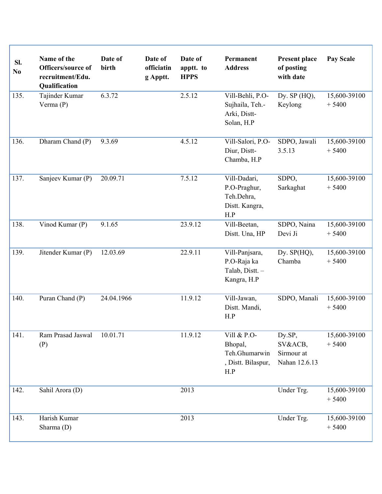| Sl.<br>No | Name of the<br>Officers/source of<br>recruitment/Edu.<br><b>Qualification</b> | Date of<br>birth | Date of<br>officiatin<br>g Apptt. | Date of<br>apptt. to<br><b>HPPS</b> | Permanent<br><b>Address</b>                                          | <b>Present place</b><br>of posting<br>with date  | <b>Pay Scale</b>        |
|-----------|-------------------------------------------------------------------------------|------------------|-----------------------------------|-------------------------------------|----------------------------------------------------------------------|--------------------------------------------------|-------------------------|
| 135.      | Tajinder Kumar<br>Verma $(P)$                                                 | 6.3.72           |                                   | 2.5.12                              | Vill-Behli, P.O-<br>Sujhaila, Teh.-<br>Arki, Distt-<br>Solan, H.P    | Dy. $SP(HQ)$ ,<br>Keylong                        | 15,600-39100<br>$+5400$ |
| 136.      | Dharam Chand (P)                                                              | 9.3.69           |                                   | 4.5.12                              | Vill-Salori, P.O-<br>Diur, Distt-<br>Chamba, H.P                     | SDPO, Jawali<br>3.5.13                           | 15,600-39100<br>$+5400$ |
| 137.      | Sanjeev Kumar (P)                                                             | 20.09.71         |                                   | 7.5.12                              | Vill-Dadari,<br>P.O-Praghur,<br>Teh.Dehra,<br>Distt. Kangra,<br>H.P  | SDPO,<br>Sarkaghat                               | 15,600-39100<br>$+5400$ |
| 138.      | Vinod Kumar (P)                                                               | 9.1.65           |                                   | 23.9.12                             | Vill-Beetan,<br>Distt. Una, HP                                       | SDPO, Naina<br>Devi Ji                           | 15,600-39100<br>$+5400$ |
| 139.      | Jitender Kumar (P)                                                            | 12.03.69         |                                   | 22.9.11                             | Vill-Panjsara,<br>P.O-Raja ka<br>Talab, Distt. -<br>Kangra, H.P      | Dy. $SP(HQ)$ ,<br>Chamba                         | 15,600-39100<br>$+5400$ |
| 140.      | Puran Chand (P)                                                               | 24.04.1966       |                                   | 11.9.12                             | Vill-Jawan,<br>Distt. Mandi,<br>H.P                                  | SDPO, Manali                                     | 15,600-39100<br>$+5400$ |
| 141.      | Ram Prasad Jaswal<br>(P)                                                      | 10.01.71         |                                   | 11.9.12                             | Vill & P.O-<br>Bhopal,<br>Teh.Ghumarwin<br>, Distt. Bilaspur,<br>H.P | Dy.SP,<br>SV&ACB,<br>Sirmour at<br>Nahan 12.6.13 | 15,600-39100<br>$+5400$ |
| 142.      | Sahil Arora (D)                                                               |                  |                                   | 2013                                |                                                                      | Under Trg.                                       | 15,600-39100<br>$+5400$ |
| 143.      | Harish Kumar<br>Sharma (D)                                                    |                  |                                   | 2013                                |                                                                      | Under Trg.                                       | 15,600-39100<br>$+5400$ |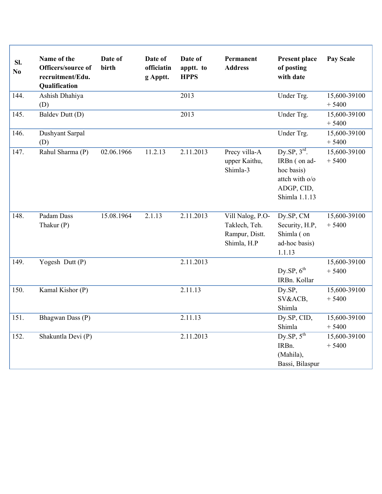| SI.<br>$\mathbf{N}\mathbf{o}$ | Name of the<br>Officers/source of<br>recruitment/Edu.<br>Qualification | Date of<br>birth | Date of<br>officiatin<br>g Apptt. | Date of<br>apptt. to<br><b>HPPS</b> | Permanent<br><b>Address</b>                                        | <b>Present place</b><br>of posting<br>with date                                                         | <b>Pay Scale</b>        |
|-------------------------------|------------------------------------------------------------------------|------------------|-----------------------------------|-------------------------------------|--------------------------------------------------------------------|---------------------------------------------------------------------------------------------------------|-------------------------|
| 144.                          | Ashish Dhahiya<br>(D)                                                  |                  |                                   | 2013                                |                                                                    | Under Trg.                                                                                              | 15,600-39100<br>$+5400$ |
| 145.                          | Baldev Dutt (D)                                                        |                  |                                   | 2013                                |                                                                    | Under Trg.                                                                                              | 15,600-39100<br>$+5400$ |
| 146.                          | Dushyant Sarpal<br>(D)                                                 |                  |                                   |                                     |                                                                    | Under Trg.                                                                                              | 15,600-39100<br>$+5400$ |
| 147.                          | Rahul Sharma (P)                                                       | 02.06.1966       | 11.2.13                           | 2.11.2013                           | Precy villa-A<br>upper Kaithu,<br>Shimla-3                         | Dy.SP, $3^{\text{rd}}$ .<br>IRBn (on ad-<br>hoc basis)<br>attch with o/o<br>ADGP, CID,<br>Shimla 1.1.13 | 15,600-39100<br>$+5400$ |
| 148.                          | Padam Dass<br>Thakur (P)                                               | 15.08.1964       | 2.1.13                            | 2.11.2013                           | Vill Nalog, P.O-<br>Taklech, Teh.<br>Rampur, Distt.<br>Shimla, H.P | Dy.SP, CM<br>Security, H.P.<br>Shimla (on<br>ad-hoc basis)<br>1.1.13                                    | 15,600-39100<br>$+5400$ |
| 149.                          | Yogesh Dutt (P)                                                        |                  |                                   | 2.11.2013                           |                                                                    | Dy.SP, $6^{th}$<br>IRBn. Kollar                                                                         | 15,600-39100<br>$+5400$ |
| 150.                          | Kamal Kishor (P)                                                       |                  |                                   | 2.11.13                             |                                                                    | Dy.SP,<br>SV&ACB,<br>Shimla                                                                             | 15,600-39100<br>$+5400$ |
| 151.                          | Bhagwan Dass (P)                                                       |                  |                                   | 2.11.13                             |                                                                    | Dy.SP, CID,<br>Shimla                                                                                   | 15,600-39100<br>$+5400$ |
| 152.                          | Shakuntla Devi (P)                                                     |                  |                                   | 2.11.2013                           |                                                                    | $Dy$ .SP, $5^{th}$<br>IRBn.<br>(Mahila),<br>Bassi, Bilaspur                                             | 15,600-39100<br>$+5400$ |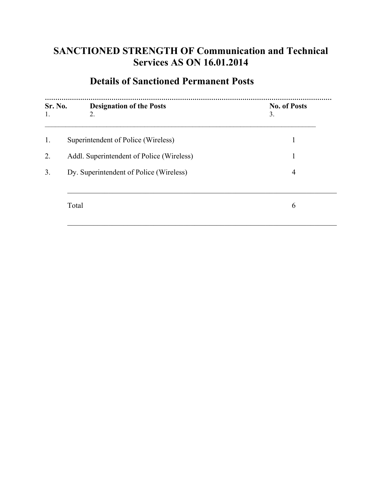## **SANCTIONED STRENGTH OF Communication and Technical Services AS ON 16.01.2014**

# **Details of Sanctioned Permanent Posts**

| Sr. No.<br>1. | <b>Designation of the Posts</b><br>2.     | <b>No. of Posts</b><br>3. |
|---------------|-------------------------------------------|---------------------------|
| 1.            | Superintendent of Police (Wireless)       | 1                         |
| 2.            | Addl. Superintendent of Police (Wireless) | 1                         |
| 3.            | Dy. Superintendent of Police (Wireless)   | $\overline{4}$            |
|               | Total                                     | 6                         |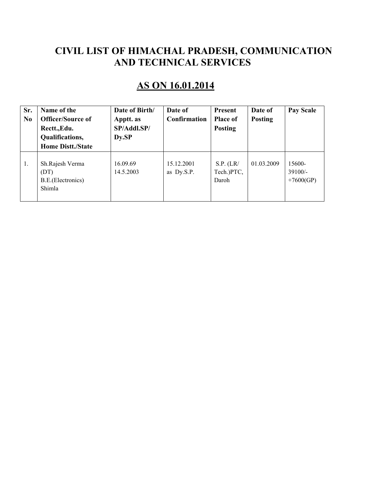### **CIVIL LIST OF HIMACHAL PRADESH, COMMUNICATION AND TECHNICAL SERVICES**

# **AS ON 16.01.2014**

| Sr.<br>N <sub>0</sub> | Name of the<br><b>Officer/Source of</b><br>Rectt., Edu.<br>Qualifications,<br><b>Home Distt./State</b> | Date of Birth/<br>Apptt. as<br>SP/Addl.SP/<br>Dy.SP | Date of<br>Confirmation  | <b>Present</b><br><b>Place of</b><br><b>Posting</b> | Date of<br><b>Posting</b> | <b>Pay Scale</b>                   |
|-----------------------|--------------------------------------------------------------------------------------------------------|-----------------------------------------------------|--------------------------|-----------------------------------------------------|---------------------------|------------------------------------|
| 1.                    | Sh.Rajesh Verma<br>(DT)<br>B.E. (Electronics)<br>Shimla                                                | 16.09.69<br>14.5.2003                               | 15.12.2001<br>as Dy.S.P. | S.P. (LR/<br>Tech.)PTC,<br>Daroh                    | 01.03.2009                | 15600-<br>$39100/-$<br>$+7600(GP)$ |